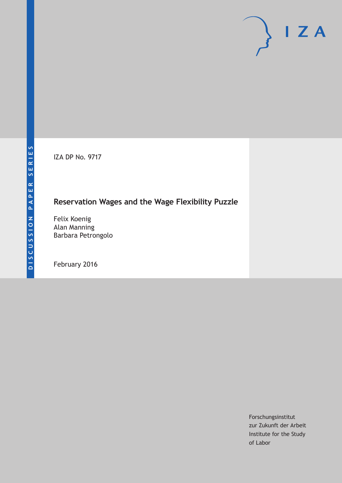IZA DP No. 9717

## **Reservation Wages and the Wage Flexibility Puzzle**

Felix Koenig Alan Manning Barbara Petrongolo

February 2016

Forschungsinstitut zur Zukunft der Arbeit Institute for the Study of Labor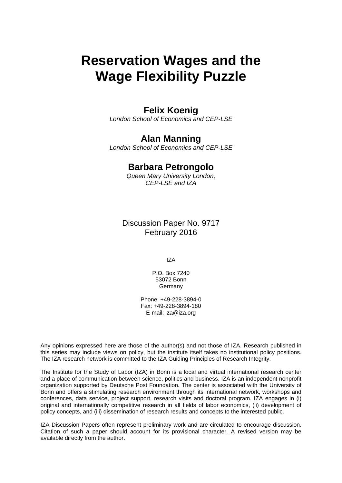# **Reservation Wages and the Wage Flexibility Puzzle**

## **Felix Koenig**

*London School of Economics and CEP-LSE* 

### **Alan Manning**

*London School of Economics and CEP-LSE* 

## **Barbara Petrongolo**

*Queen Mary University London, CEP-LSE and IZA*

Discussion Paper No. 9717 February 2016

IZA

P.O. Box 7240 53072 Bonn Germany

Phone: +49-228-3894-0 Fax: +49-228-3894-180 E-mail: iza@iza.org

Any opinions expressed here are those of the author(s) and not those of IZA. Research published in this series may include views on policy, but the institute itself takes no institutional policy positions. The IZA research network is committed to the IZA Guiding Principles of Research Integrity.

The Institute for the Study of Labor (IZA) in Bonn is a local and virtual international research center and a place of communication between science, politics and business. IZA is an independent nonprofit organization supported by Deutsche Post Foundation. The center is associated with the University of Bonn and offers a stimulating research environment through its international network, workshops and conferences, data service, project support, research visits and doctoral program. IZA engages in (i) original and internationally competitive research in all fields of labor economics, (ii) development of policy concepts, and (iii) dissemination of research results and concepts to the interested public.

IZA Discussion Papers often represent preliminary work and are circulated to encourage discussion. Citation of such a paper should account for its provisional character. A revised version may be available directly from the author.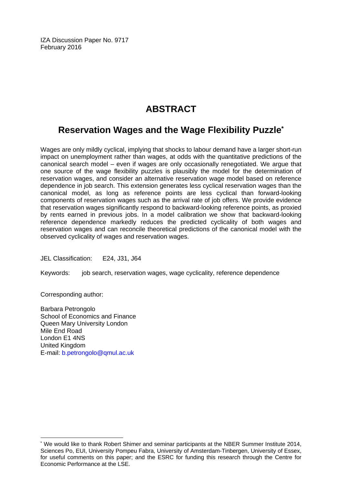IZA Discussion Paper No. 9717 February 2016

## **ABSTRACT**

## **Reservation Wages and the Wage Flexibility Puzzle\***

Wages are only mildly cyclical, implying that shocks to labour demand have a larger short-run impact on unemployment rather than wages, at odds with the quantitative predictions of the canonical search model – even if wages are only occasionally renegotiated. We argue that one source of the wage flexibility puzzles is plausibly the model for the determination of reservation wages, and consider an alternative reservation wage model based on reference dependence in job search. This extension generates less cyclical reservation wages than the canonical model, as long as reference points are less cyclical than forward-looking components of reservation wages such as the arrival rate of job offers. We provide evidence that reservation wages significantly respond to backward-looking reference points, as proxied by rents earned in previous jobs. In a model calibration we show that backward-looking reference dependence markedly reduces the predicted cyclicality of both wages and reservation wages and can reconcile theoretical predictions of the canonical model with the observed cyclicality of wages and reservation wages.

JEL Classification: E24, J31, J64

Keywords: job search, reservation wages, wage cyclicality, reference dependence

Corresponding author:

 $\overline{a}$ 

Barbara Petrongolo School of Economics and Finance Queen Mary University London Mile End Road London E1 4NS United Kingdom E-mail: b.petrongolo@qmul.ac.uk

<sup>\*</sup> We would like to thank Robert Shimer and seminar participants at the NBER Summer Institute 2014, Sciences Po, EUI, University Pompeu Fabra, University of Amsterdam-Tinbergen, University of Essex, for useful comments on this paper; and the ESRC for funding this research through the Centre for Economic Performance at the LSE.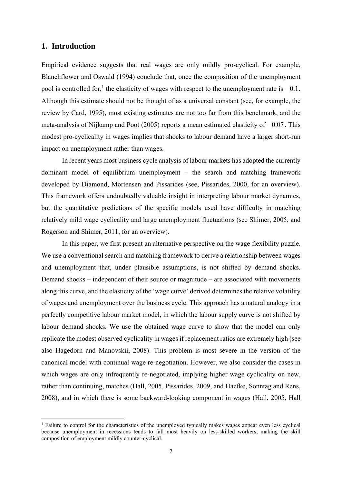#### **1. Introduction**

Empirical evidence suggests that real wages are only mildly pro-cyclical. For example, Blanchflower and Oswald (1994) conclude that, once the composition of the unemployment pool is controlled for,<sup>1</sup> the elasticity of wages with respect to the unemployment rate is  $-0.1$ . Although this estimate should not be thought of as a universal constant (see, for example, the review by Card, 1995), most existing estimates are not too far from this benchmark, and the meta-analysis of Nijkamp and Poot (2005) reports a mean estimated elasticity of  $-0.07$ . This modest pro-cyclicality in wages implies that shocks to labour demand have a larger short-run impact on unemployment rather than wages.

In recent years most business cycle analysis of labour markets has adopted the currently dominant model of equilibrium unemployment – the search and matching framework developed by Diamond, Mortensen and Pissarides (see, Pissarides, 2000, for an overview). This framework offers undoubtedly valuable insight in interpreting labour market dynamics, but the quantitative predictions of the specific models used have difficulty in matching relatively mild wage cyclicality and large unemployment fluctuations (see Shimer, 2005, and Rogerson and Shimer, 2011, for an overview).

In this paper, we first present an alternative perspective on the wage flexibility puzzle. We use a conventional search and matching framework to derive a relationship between wages and unemployment that, under plausible assumptions, is not shifted by demand shocks. Demand shocks – independent of their source or magnitude – are associated with movements along this curve, and the elasticity of the 'wage curve' derived determines the relative volatility of wages and unemployment over the business cycle. This approach has a natural analogy in a perfectly competitive labour market model, in which the labour supply curve is not shifted by labour demand shocks. We use the obtained wage curve to show that the model can only replicate the modest observed cyclicality in wages if replacement ratios are extremely high (see also Hagedorn and Manovskii, 2008). This problem is most severe in the version of the canonical model with continual wage re-negotiation. However, we also consider the cases in which wages are only infrequently re-negotiated, implying higher wage cyclicality on new, rather than continuing, matches (Hall, 2005, Pissarides, 2009, and Haefke, Sonntag and Rens, 2008), and in which there is some backward-looking component in wages (Hall, 2005, Hall

<sup>&</sup>lt;sup>1</sup> Failure to control for the characteristics of the unemployed typically makes wages appear even less cyclical because unemployment in recessions tends to fall most heavily on less-skilled workers, making the skill composition of employment mildly counter-cyclical.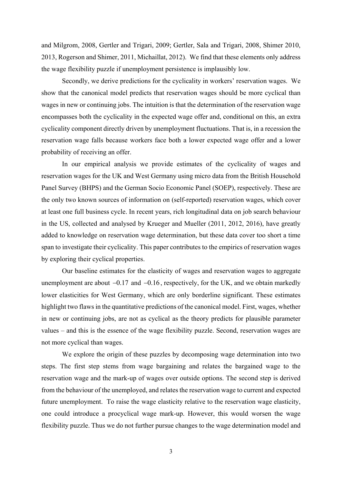and Milgrom, 2008, Gertler and Trigari, 2009; Gertler, Sala and Trigari, 2008, Shimer 2010, 2013, Rogerson and Shimer, 2011, Michaillat, 2012). We find that these elements only address the wage flexibility puzzle if unemployment persistence is implausibly low.

Secondly, we derive predictions for the cyclicality in workers' reservation wages. We show that the canonical model predicts that reservation wages should be more cyclical than wages in new or continuing jobs. The intuition is that the determination of the reservation wage encompasses both the cyclicality in the expected wage offer and, conditional on this, an extra cyclicality component directly driven by unemployment fluctuations. That is, in a recession the reservation wage falls because workers face both a lower expected wage offer and a lower probability of receiving an offer.

In our empirical analysis we provide estimates of the cyclicality of wages and reservation wages for the UK and West Germany using micro data from the British Household Panel Survey (BHPS) and the German Socio Economic Panel (SOEP), respectively. These are the only two known sources of information on (self-reported) reservation wages, which cover at least one full business cycle. In recent years, rich longitudinal data on job search behaviour in the US, collected and analysed by Krueger and Mueller (2011, 2012, 2016), have greatly added to knowledge on reservation wage determination, but these data cover too short a time span to investigate their cyclicality. This paper contributes to the empirics of reservation wages by exploring their cyclical properties.

Our baseline estimates for the elasticity of wages and reservation wages to aggregate unemployment are about  $-0.17$  and  $-0.16$ , respectively, for the UK, and we obtain markedly lower elasticities for West Germany, which are only borderline significant. These estimates highlight two flaws in the quantitative predictions of the canonical model. First, wages, whether in new or continuing jobs, are not as cyclical as the theory predicts for plausible parameter values – and this is the essence of the wage flexibility puzzle. Second, reservation wages are not more cyclical than wages.

We explore the origin of these puzzles by decomposing wage determination into two steps. The first step stems from wage bargaining and relates the bargained wage to the reservation wage and the mark-up of wages over outside options. The second step is derived from the behaviour of the unemployed, and relates the reservation wage to current and expected future unemployment. To raise the wage elasticity relative to the reservation wage elasticity, one could introduce a procyclical wage mark-up. However, this would worsen the wage flexibility puzzle. Thus we do not further pursue changes to the wage determination model and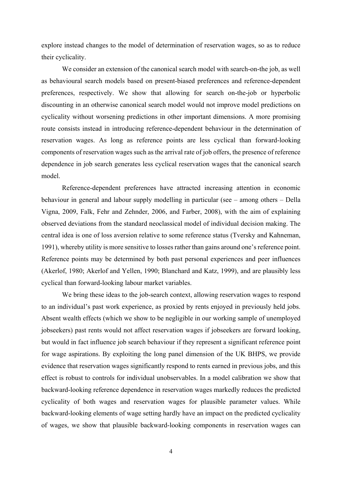explore instead changes to the model of determination of reservation wages, so as to reduce their cyclicality.

We consider an extension of the canonical search model with search-on-the job, as well as behavioural search models based on present-biased preferences and reference-dependent preferences, respectively. We show that allowing for search on-the-job or hyperbolic discounting in an otherwise canonical search model would not improve model predictions on cyclicality without worsening predictions in other important dimensions. A more promising route consists instead in introducing reference-dependent behaviour in the determination of reservation wages. As long as reference points are less cyclical than forward-looking components of reservation wages such as the arrival rate of job offers, the presence of reference dependence in job search generates less cyclical reservation wages that the canonical search model.

Reference-dependent preferences have attracted increasing attention in economic behaviour in general and labour supply modelling in particular (see – among others – Della Vigna, 2009, Falk, Fehr and Zehnder, 2006, and Farber, 2008), with the aim of explaining observed deviations from the standard neoclassical model of individual decision making. The central idea is one of loss aversion relative to some reference status (Tversky and Kahneman, 1991), whereby utility is more sensitive to losses rather than gains around one's reference point. Reference points may be determined by both past personal experiences and peer influences (Akerlof, 1980; Akerlof and Yellen, 1990; Blanchard and Katz, 1999), and are plausibly less cyclical than forward-looking labour market variables.

We bring these ideas to the job-search context, allowing reservation wages to respond to an individual's past work experience, as proxied by rents enjoyed in previously held jobs. Absent wealth effects (which we show to be negligible in our working sample of unemployed jobseekers) past rents would not affect reservation wages if jobseekers are forward looking, but would in fact influence job search behaviour if they represent a significant reference point for wage aspirations. By exploiting the long panel dimension of the UK BHPS, we provide evidence that reservation wages significantly respond to rents earned in previous jobs, and this effect is robust to controls for individual unobservables. In a model calibration we show that backward-looking reference dependence in reservation wages markedly reduces the predicted cyclicality of both wages and reservation wages for plausible parameter values. While backward-looking elements of wage setting hardly have an impact on the predicted cyclicality of wages, we show that plausible backward-looking components in reservation wages can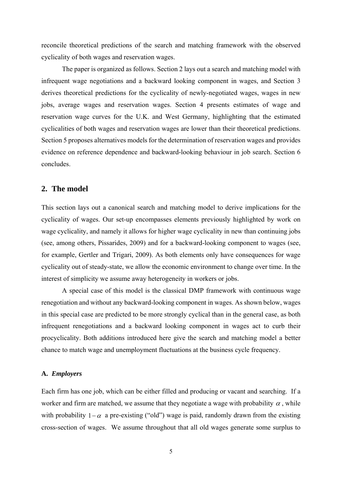reconcile theoretical predictions of the search and matching framework with the observed cyclicality of both wages and reservation wages.

The paper is organized as follows. Section 2 lays out a search and matching model with infrequent wage negotiations and a backward looking component in wages, and Section 3 derives theoretical predictions for the cyclicality of newly-negotiated wages, wages in new jobs, average wages and reservation wages. Section 4 presents estimates of wage and reservation wage curves for the U.K. and West Germany, highlighting that the estimated cyclicalities of both wages and reservation wages are lower than their theoretical predictions. Section 5 proposes alternatives models for the determination of reservation wages and provides evidence on reference dependence and backward-looking behaviour in job search. Section 6 concludes.

#### **2. The model**

This section lays out a canonical search and matching model to derive implications for the cyclicality of wages. Our set-up encompasses elements previously highlighted by work on wage cyclicality, and namely it allows for higher wage cyclicality in new than continuing jobs (see, among others, Pissarides, 2009) and for a backward-looking component to wages (see, for example, Gertler and Trigari, 2009). As both elements only have consequences for wage cyclicality out of steady-state, we allow the economic environment to change over time. In the interest of simplicity we assume away heterogeneity in workers or jobs.

A special case of this model is the classical DMP framework with continuous wage renegotiation and without any backward-looking component in wages. As shown below, wages in this special case are predicted to be more strongly cyclical than in the general case, as both infrequent renegotiations and a backward looking component in wages act to curb their procyclicality. Both additions introduced here give the search and matching model a better chance to match wage and unemployment fluctuations at the business cycle frequency.

#### **A.** *Employers*

Each firm has one job, which can be either filled and producing or vacant and searching. If a worker and firm are matched, we assume that they negotiate a wage with probability  $\alpha$ , while with probability  $1-\alpha$  a pre-existing ("old") wage is paid, randomly drawn from the existing cross-section of wages. We assume throughout that all old wages generate some surplus to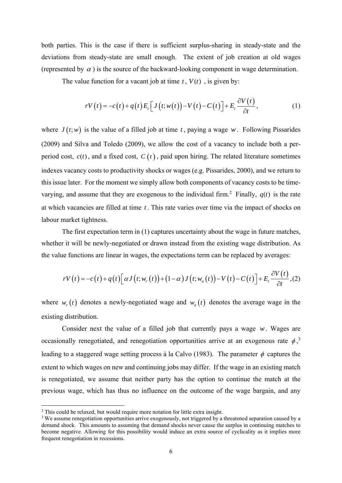both parties. This is the case if there is sufficient surplus-sharing in steady-state and the deviations from steady-state are small enough. The extent of job creation at old wages (represented by  $\alpha$ ) is the source of the backward-looking component in wage determination.

The value function for a vacant job at time  $t$ ,  $V(t)$ , is given by:

$$
rV(t) = -c(t) + q(t)E_t \Big[ J(t; w(t)) - V(t) - C(t) \Big] + E_t \frac{\partial V(t)}{\partial t}, \qquad (1)
$$

where  $J(t; w)$  is the value of a filled job at time t, paying a wage w. Following Pissarides (2009) and Silva and Toledo (2009), we allow the cost of a vacancy to include both a perperiod cost,  $c(t)$ , and a fixed cost,  $C(t)$ , paid upon hiring. The related literature sometimes indexes vacancy costs to productivity shocks or wages (e.g. Pissarides, 2000), and we return to this issue later. For the moment we simply allow both components of vacancy costs to be timevarying, and assume that they are exogenous to the individual firm.<sup>2</sup> Finally,  $q(t)$  is the rate at which vacancies are filled at time *t* . This rate varies over time via the impact of shocks on labour market tightness.

The first expectation term in (1) captures uncertainty about the wage in future matches, whether it will be newly-negotiated or drawn instead from the existing wage distribution. As the value functions are linear in wages, the expectations term can be replaced by averages:

$$
rV(t) = -c(t) + q(t) \Big[ \alpha J(t; w_r(t)) + (1 - \alpha) J(t; w_a(t)) - V(t) - C(t) \Big] + E_t \frac{\partial V(t)}{\partial t}, (2)
$$

where  $w_r(t)$  denotes a newly-negotiated wage and  $w_a(t)$  denotes the average wage in the existing distribution.

Consider next the value of a filled job that currently pays a wage *w*. Wages are occasionally renegotiated, and renegotiation opportunities arrive at an exogenous rate  $\phi$ ,<sup>3</sup> leading to a staggered wage setting process à la Calvo (1983). The parameter  $\phi$  captures the extent to which wages on new and continuing jobs may differ. If the wage in an existing match is renegotiated, we assume that neither party has the option to continue the match at the previous wage, which has thus no influence on the outcome of the wage bargain, and any

<sup>&</sup>lt;sup>2</sup> This could be relaxed, but would require more notation for little extra insight.

<sup>&</sup>lt;sup>3</sup> We assume renegotiation opportunities arrive exogenously, not triggered by a threatened separation caused by a demand shock. This amounts to assuming that demand shocks never cause the surplus in continuing matches to become negative. Allowing for this possibility would induce an extra source of cyclicality as it implies more frequent renegotiation in recessions.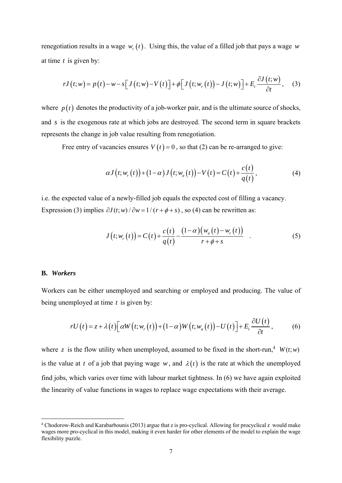renegotiation results in a wage  $w_r(t)$ . Using this, the value of a filled job that pays a wage *w* at time *t* is given by:

$$
rJ(t;w) = p(t) - w - s[J(t;w) - V(t)] + \phi[J(t;w_r(t)) - J(t;w)] + E_t \frac{\partial J(t;w)}{\partial t}, \quad (3)
$$

where  $p(t)$  denotes the productivity of a job-worker pair, and is the ultimate source of shocks, and *s* is the exogenous rate at which jobs are destroyed. The second term in square brackets represents the change in job value resulting from renegotiation.

Free entry of vacancies ensures  $V(t) = 0$ , so that (2) can be re-arranged to give:

$$
\alpha J\big(t; w_r\big(t\big)\big) + \big(1-\alpha\big)J\big(t; w_a\big(t\big)\big) - V\big(t\big) = C\big(t\big) + \frac{c\big(t\big)}{q\big(t\big)},\tag{4}
$$

i.e. the expected value of a newly-filled job equals the expected cost of filling a vacancy. Expression (3) implies  $\partial J(t; w) / \partial w = 1/(r + \phi + s)$ , so (4) can be rewritten as:

$$
J(t; w_r(t)) = C(t) + \frac{c(t)}{q(t)} - \frac{(1-\alpha)(w_a(t) - w_r(t))}{r + \phi + s}
$$
 (5)

#### **B.** *Workers*

Workers can be either unemployed and searching or employed and producing. The value of being unemployed at time *t* is given by:

$$
rU(t) = z + \lambda(t) \Big[ \alpha W(t; w_r(t)) + (1 - \alpha) W(t; w_a(t)) - U(t) \Big] + E_t \frac{\partial U(t)}{\partial t}, \tag{6}
$$

where z is the flow utility when unemployed, assumed to be fixed in the short-run,<sup>4</sup>  $W(t; w)$ is the value at *t* of a job that paying wage *w*, and  $\lambda(t)$  is the rate at which the unemployed find jobs, which varies over time with labour market tightness. In (6) we have again exploited the linearity of value functions in wages to replace wage expectations with their average.

<sup>4</sup> Chodorow-Reich and Karabarbounis (2013) argue that *z* is pro-cyclical. Allowing for procyclical *z* would make wages more pro-cyclical in this model, making it even harder for other elements of the model to explain the wage flexibility puzzle.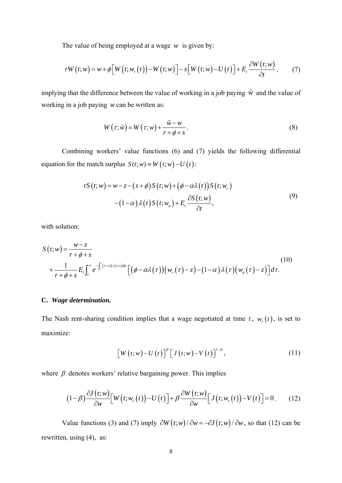The value of being employed at a wage *w* is given by:

$$
rW(t; w) = w + \phi \Big[ W(t; w_r(t)) - W(t; w) \Big] - s \Big[ W(t; w) - U(t) \Big] + E_t \frac{\partial W(t; w)}{\partial t}, \qquad (7)
$$

implying that the difference between the value of working in a job paying  $\tilde{w}$  and the value of working in a job paying *w* can be written as:

$$
W(\tau; \tilde{w}) = W(\tau; w) + \frac{\tilde{w} - w}{r + \phi + s}.
$$
\n(8)

Combining workers' value functions (6) and (7) yields the following differential equation for the match surplus  $S(t; w) = W(t; w) - U(t)$ :

$$
rS(t; w) = w - z - (s + \phi)S(t; w) + (\phi - \alpha \lambda(t))S(t; w_r)
$$
  
 
$$
- (1 - \alpha) \lambda(t)S(t; w_a) + E_t \frac{\partial S(t; w)}{\partial t},
$$
 (9)

with solution:

$$
S(t; w) = \frac{w-z}{r+\phi+s}
$$
  
+ 
$$
\frac{1}{r+\phi+s} E_t \int_t^{\infty} e^{-\int_t^{\tau} (r+\lambda(x)+s)dx} \left[ \left(\phi - \alpha \lambda(\tau)\right) \left(w_r(\tau) - z\right) - \left(1-\alpha \right) \lambda(\tau) \left(w_a(\tau) - z\right) \right] d\tau.
$$
 (10)

#### **C.** *Wage determination.*

The Nash rent-sharing condition implies that a wage negotiated at time  $t$ ,  $w_r(t)$ , is set to maximize:

$$
\left[W\left(t;w\right)-U\left(t\right)\right]^{\beta}\left[J\left(t;w\right)-V\left(t\right)\right]^{1-\beta},\tag{11}
$$

where  $\beta$  denotes workers' relative bargaining power. This implies

$$
(1-\beta)\frac{\partial J(t;w)}{\partial w}\Big[W(t;w_r(t))-U(t)\Big]+\beta\frac{\partial W(t;w)}{\partial w}\Big[J(t;w_r(t))-V(t)\Big]=0.\qquad(12)
$$

Value functions (3) and (7) imply  $\partial W(t; w) / \partial w = -\partial J(t; w) / \partial w$ , so that (12) can be rewritten, using (4), as: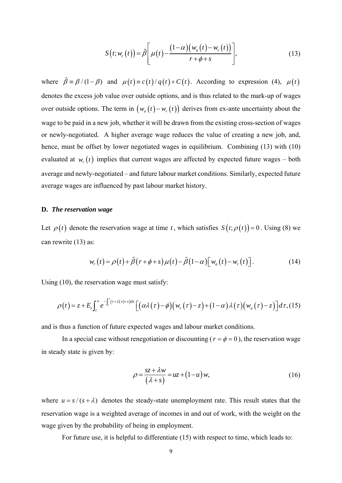$$
S(t; wr(t)) = \tilde{\beta}\left[\mu(t) - \frac{(1-\alpha)(w_a(t) - w_r(t))}{r + \phi + s}\right],
$$
\n(13)

where  $\tilde{\beta} = \beta/(1-\beta)$  and  $\mu(t) = c(t)/q(t) + C(t)$ . According to expression (4),  $\mu(t)$ denotes the excess job value over outside options, and is thus related to the mark-up of wages over outside options. The term in  $(w_a(t) - w_r(t))$  derives from ex-ante uncertainty about the wage to be paid in a new job, whether it will be drawn from the existing cross-section of wages or newly-negotiated. A higher average wage reduces the value of creating a new job, and, hence, must be offset by lower negotiated wages in equilibrium. Combining (13) with (10) evaluated at  $w_r(t)$  implies that current wages are affected by expected future wages – both average and newly-negotiated – and future labour market conditions. Similarly, expected future average wages are influenced by past labour market history.

#### **D.** *The reservation wage*

Let  $\rho(t)$  denote the reservation wage at time *t*, which satisfies  $S(t; \rho(t)) = 0$ . Using (8) we can rewrite (13) as:

$$
w_r(t) = \rho(t) + \tilde{\beta}(r + \phi + s)\mu(t) - \tilde{\beta}(1 - \alpha)\left[w_a(t) - w_r(t)\right].
$$
 (14)

Using (10), the reservation wage must satisfy:

$$
\rho(t) = z + E_t \int_t^{\infty} e^{-\int_t^{\tau} (r + \lambda(x) + s) dx} \left[ \left( \alpha \lambda(\tau) - \phi \right) \left( w_r(\tau) - z \right) + (1 - \alpha) \lambda(\tau) \left( w_a(\tau) - z \right) \right] d\tau, \tag{15}
$$

and is thus a function of future expected wages and labour market conditions.

In a special case without renegotiation or discounting ( $r = \phi = 0$ ), the reservation wage in steady state is given by:

$$
\rho = \frac{sz + \lambda w}{(\lambda + s)} = uz + (1 - u)w,
$$
\n(16)

where  $u = s/(s + \lambda)$  denotes the steady-state unemployment rate. This result states that the reservation wage is a weighted average of incomes in and out of work, with the weight on the wage given by the probability of being in employment.

For future use, it is helpful to differentiate (15) with respect to time, which leads to: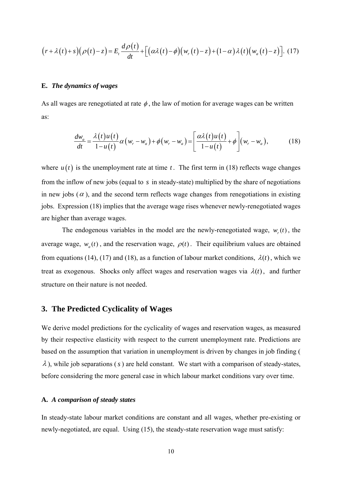$$
(r+\lambda(t)+s)(\rho(t)-z)=E_t\frac{d\rho(t)}{dt}+\left[(\alpha\lambda(t)-\phi)(w_r(t)-z)+(1-\alpha)\lambda(t)(w_a(t)-z)\right].
$$
 (17)

#### **E.** *The dynamics of wages*

As all wages are renegotiated at rate  $\phi$ , the law of motion for average wages can be written as:

$$
\frac{dw_a}{dt} = \frac{\lambda(t)u(t)}{1-u(t)}\alpha(w_r - w_a) + \phi(w_r - w_a) = \left[\frac{\alpha\lambda(t)u(t)}{1-u(t)} + \phi\right](w_r - w_a),\tag{18}
$$

where  $u(t)$  is the unemployment rate at time *t*. The first term in (18) reflects wage changes from the inflow of new jobs (equal to *s* in steady-state) multiplied by the share of negotiations in new jobs ( $\alpha$ ), and the second term reflects wage changes from renegotiations in existing jobs. Expression (18) implies that the average wage rises whenever newly-renegotiated wages are higher than average wages.

The endogenous variables in the model are the newly-renegotiated wage,  $w(t)$ , the average wage,  $w_a(t)$ , and the reservation wage,  $\rho(t)$ . Their equilibrium values are obtained from equations (14), (17) and (18), as a function of labour market conditions,  $\lambda(t)$ , which we treat as exogenous. Shocks only affect wages and reservation wages via  $\lambda(t)$ , and further structure on their nature is not needed.

#### **3. The Predicted Cyclicality of Wages**

We derive model predictions for the cyclicality of wages and reservation wages, as measured by their respective elasticity with respect to the current unemployment rate. Predictions are based on the assumption that variation in unemployment is driven by changes in job finding (  $\lambda$ ), while job separations (s) are held constant. We start with a comparison of steady-states, before considering the more general case in which labour market conditions vary over time.

#### **A.** *A comparison of steady states*

In steady-state labour market conditions are constant and all wages, whether pre-existing or newly-negotiated, are equal. Using (15), the steady-state reservation wage must satisfy: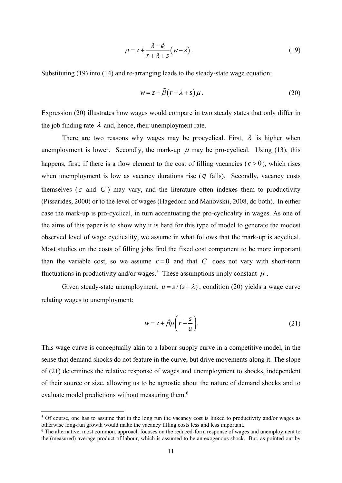$$
\rho = z + \frac{\lambda - \phi}{r + \lambda + s} (w - z). \tag{19}
$$

Substituting (19) into (14) and re-arranging leads to the steady-state wage equation:

$$
w = z + \tilde{\beta} (r + \lambda + s) \mu.
$$
 (20)

Expression (20) illustrates how wages would compare in two steady states that only differ in the job finding rate  $\lambda$  and, hence, their unemployment rate.

There are two reasons why wages may be procyclical. First,  $\lambda$  is higher when unemployment is lower. Secondly, the mark-up  $\mu$  may be pro-cyclical. Using (13), this happens, first, if there is a flow element to the cost of filling vacancies  $(c > 0)$ , which rises when unemployment is low as vacancy durations rise (*q* falls). Secondly, vacancy costs themselves  $(c \text{ and } C)$  may vary, and the literature often indexes them to productivity (Pissarides, 2000) or to the level of wages (Hagedorn and Manovskii, 2008, do both). In either case the mark-up is pro-cyclical, in turn accentuating the pro-cyclicality in wages. As one of the aims of this paper is to show why it is hard for this type of model to generate the modest observed level of wage cyclicality, we assume in what follows that the mark-up is acyclical. Most studies on the costs of filling jobs find the fixed cost component to be more important than the variable cost, so we assume  $c=0$  and that C does not vary with short-term fluctuations in productivity and/or wages.<sup>5</sup> These assumptions imply constant  $\mu$ .

Given steady-state unemployment,  $u = s/(s + \lambda)$ , condition (20) yields a wage curve relating wages to unemployment:

$$
w = z + \tilde{\beta}\mu \left(r + \frac{s}{u}\right).
$$
 (21)

This wage curve is conceptually akin to a labour supply curve in a competitive model, in the sense that demand shocks do not feature in the curve, but drive movements along it. The slope of (21) determines the relative response of wages and unemployment to shocks, independent of their source or size, allowing us to be agnostic about the nature of demand shocks and to evaluate model predictions without measuring them.<sup>6</sup>

<sup>&</sup>lt;sup>5</sup> Of course, one has to assume that in the long run the vacancy cost is linked to productivity and/or wages as otherwise long-run growth would make the vacancy filling costs less and less important.

<sup>&</sup>lt;sup>6</sup> The alternative, most common, approach focuses on the reduced-form response of wages and unemployment to the (measured) average product of labour, which is assumed to be an exogenous shock. But, as pointed out by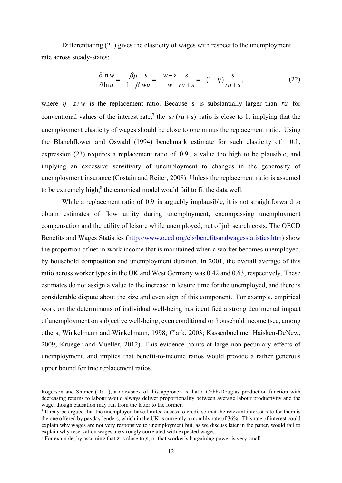Differentiating (21) gives the elasticity of wages with respect to the unemployment rate across steady-states:

$$
\frac{\partial \ln w}{\partial \ln u} = -\frac{\beta \mu}{1 - \beta} \frac{s}{w u} = -\frac{w - z}{w} \frac{s}{r u + s} = -(1 - \eta) \frac{s}{r u + s},\tag{22}
$$

where  $\eta = z/w$  is the replacement ratio. Because *s* is substantially larger than *ru* for conventional values of the interest rate,<sup>7</sup> the  $s/(ru + s)$  ratio is close to 1, implying that the unemployment elasticity of wages should be close to one minus the replacement ratio. Using the Blanchflower and Oswald (1994) benchmark estimate for such elasticity of  $-0.1$ , expression (23) requires a replacement ratio of 0.9 , a value too high to be plausible, and implying an excessive sensitivity of unemployment to changes in the generosity of unemployment insurance (Costain and Reiter, 2008). Unless the replacement ratio is assumed to be extremely high, $<sup>8</sup>$  the canonical model would fail to fit the data well.</sup>

While a replacement ratio of 0.9 is arguably implausible, it is not straightforward to obtain estimates of flow utility during unemployment, encompassing unemployment compensation and the utility of leisure while unemployed, net of job search costs. The OECD Benefits and Wages Statistics (http://www.oecd.org/els/benefitsandwagesstatistics.htm) show the proportion of net in-work income that is maintained when a worker becomes unemployed, by household composition and unemployment duration. In 2001, the overall average of this ratio across worker types in the UK and West Germany was 0.42 and 0.63, respectively. These estimates do not assign a value to the increase in leisure time for the unemployed, and there is considerable dispute about the size and even sign of this component. For example, empirical work on the determinants of individual well-being has identified a strong detrimental impact of unemployment on subjective well-being, even conditional on household income (see, among others, Winkelmann and Winkelmann, 1998; Clark, 2003; Kassenboehmer Haisken-DeNew, 2009; Krueger and Mueller, 2012). This evidence points at large non-pecuniary effects of unemployment, and implies that benefit-to-income ratios would provide a rather generous upper bound for true replacement ratios.

Rogerson and Shimer (2011), a drawback of this approach is that a Cobb-Douglas production function with decreasing returns to labour would always deliver proportionality between average labour productivity and the wage, though causation may run from the latter to the former.

<sup>7</sup> It may be argued that the unemployed have limited access to credit so that the relevant interest rate for them is the one offered by payday lenders, which in the UK is currently a monthly rate of 36%. This rate of interest could explain why wages are not very responsive to unemployment but, as we discuss later in the paper, would fail to explain why reservation wages are strongly correlated with expected wages.

<sup>&</sup>lt;sup>8</sup> For example, by assuming that z is close to  $p$ , or that worker's bargaining power is very small.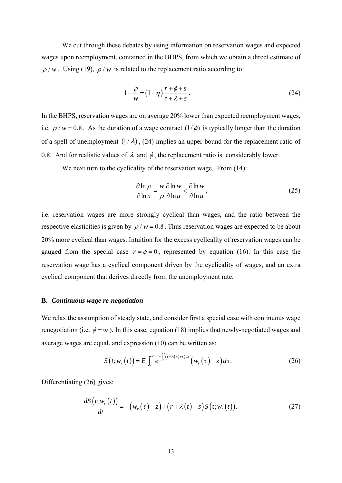We cut through these debates by using information on reservation wages and expected wages upon reemployment, contained in the BHPS, from which we obtain a direct estimate of  $\rho/w$ . Using (19),  $\rho/w$  is related to the replacement ratio according to:

$$
1 - \frac{\rho}{w} = \left(1 - \eta\right) \frac{r + \phi + s}{r + \lambda + s}.
$$
\n(24)

In the BHPS, reservation wages are on average 20% lower than expected reemployment wages, i.e.  $\rho / w = 0.8$ . As the duration of a wage contract  $(1/\phi)$  is typically longer than the duration of a spell of unemployment  $(1/\lambda)$ ,  $(24)$  implies an upper bound for the replacement ratio of 0.8. And for realistic values of  $\lambda$  and  $\phi$ , the replacement ratio is considerably lower.

We next turn to the cyclicality of the reservation wage. From  $(14)$ :

$$
\frac{\partial \ln \rho}{\partial \ln u} = \frac{w}{\rho} \frac{\partial \ln w}{\partial \ln u} < \frac{\partial \ln w}{\partial \ln u},
$$
\n(25)

i.e. reservation wages are more strongly cyclical than wages, and the ratio between the respective elasticities is given by  $\rho / w = 0.8$ . Thus reservation wages are expected to be about 20% more cyclical than wages. Intuition for the excess cyclicality of reservation wages can be gauged from the special case  $r = \phi = 0$ , represented by equation (16). In this case the reservation wage has a cyclical component driven by the cyclicality of wages, and an extra cyclical component that derives directly from the unemployment rate.

#### **B.** *Continuous wage re-negotiation*

We relax the assumption of steady state, and consider first a special case with continuous wage renegotiation (i.e.  $\phi = \infty$ ). In this case, equation (18) implies that newly-negotiated wages and average wages are equal, and expression (10) can be written as:

$$
S(t; w_r(t)) = E_t \int_t^{\infty} e^{-\int_t^t (r + \lambda(x) + s) dx} \left( w_r(\tau) - z \right) d\tau.
$$
 (26)

Differentiating (26) gives:

$$
\frac{dS(t; w_r(t))}{dt} = -(w_r(\tau) - z) + (r + \lambda(t) + s)S(t; w_r(t)).
$$
\n(27)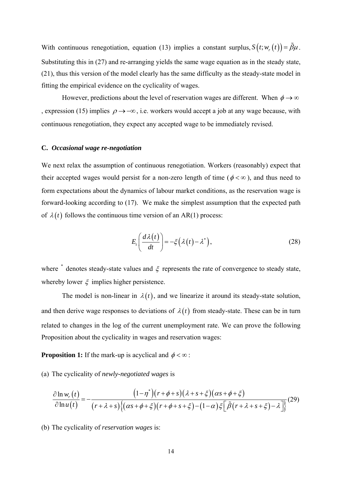With continuous renegotiation, equation (13) implies a constant surplus,  $S(t; w_r(t)) = \tilde{\beta}\mu$ . Substituting this in (27) and re-arranging yields the same wage equation as in the steady state, (21), thus this version of the model clearly has the same difficulty as the steady-state model in fitting the empirical evidence on the cyclicality of wages.

However, predictions about the level of reservation wages are different. When  $\phi \rightarrow \infty$ , expression (15) implies  $\rho \rightarrow -\infty$ , i.e. workers would accept a job at any wage because, with continuous renegotiation, they expect any accepted wage to be immediately revised.

#### **C.** *Occasional wage re-negotiation*

We next relax the assumption of continuous renegotiation. Workers (reasonably) expect that their accepted wages would persist for a non-zero length of time ( $\phi < \infty$ ), and thus need to form expectations about the dynamics of labour market conditions, as the reservation wage is forward-looking according to (17). We make the simplest assumption that the expected path of  $\lambda(t)$  follows the continuous time version of an AR(1) process:

$$
E_t\left(\frac{d\lambda(t)}{dt}\right) = -\xi\left(\lambda(t) - \lambda^*\right),\tag{28}
$$

where  $*$  denotes steady-state values and  $\xi$  represents the rate of convergence to steady state, whereby lower  $\xi$  implies higher persistence.

The model is non-linear in  $\lambda(t)$ , and we linearize it around its steady-state solution, and then derive wage responses to deviations of  $\lambda(t)$  from steady-state. These can be in turn related to changes in the log of the current unemployment rate. We can prove the following Proposition about the cyclicality in wages and reservation wages:

**Proposition 1:** If the mark-up is acyclical and  $\phi < \infty$ :

(a) The cyclicality of *newly-negotiated wages* is

$$
\frac{\partial \ln w_r(t)}{\partial \ln u(t)} = -\frac{\left(1-\eta^*\right)\left(r+\phi+s\right)\left(\lambda+s+\xi\right)\left(\alpha s+\phi+\xi\right)}{\left(r+\lambda+s\right)\left\{\left(\alpha s+\phi+\xi\right)\left(r+\phi+s+\xi\right)-\left(1-\alpha\right)\xi\left[\tilde{\beta}\left(r+\lambda+s+\xi\right)-\lambda\right]\right\}}(29)
$$

(b) The cyclicality of *reservation wages* is: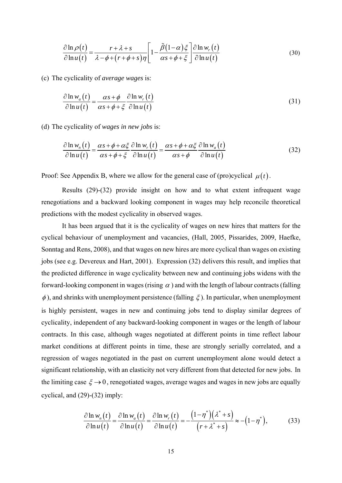$$
\frac{\partial \ln \rho(t)}{\partial \ln u(t)} = \frac{r + \lambda + s}{\lambda - \phi + (r + \phi + s)\eta} \left[ 1 - \frac{\tilde{\beta}(1-\alpha)\xi}{\alpha s + \phi + \xi} \right] \frac{\partial \ln w_r(t)}{\partial \ln u(t)}
$$
(30)

(c) The cyclicality of *average wages* is:

$$
\frac{\partial \ln w_a(t)}{\partial \ln u(t)} = \frac{\alpha s + \phi}{\alpha s + \phi + \xi} \frac{\partial \ln w_r(t)}{\partial \ln u(t)}
$$
(31)

(d) The cyclicality of *wages in new jobs* is:

$$
\frac{\partial \ln w_n(t)}{\partial \ln u(t)} = \frac{\alpha s + \phi + \alpha \xi}{\alpha s + \phi + \xi} \frac{\partial \ln w_r(t)}{\partial \ln u(t)} = \frac{\alpha s + \phi + \alpha \xi}{\alpha s + \phi} \frac{\partial \ln w_a(t)}{\partial \ln u(t)}
$$
(32)

Proof: See Appendix B, where we allow for the general case of (pro)cyclical  $\mu(t)$ .

Results (29)-(32) provide insight on how and to what extent infrequent wage renegotiations and a backward looking component in wages may help reconcile theoretical predictions with the modest cyclicality in observed wages.

It has been argued that it is the cyclicality of wages on new hires that matters for the cyclical behaviour of unemployment and vacancies, (Hall, 2005, Pissarides, 2009, Haefke, Sonntag and Rens, 2008), and that wages on new hires are more cyclical than wages on existing jobs (see e.g. Devereux and Hart, 2001). Expression (32) delivers this result, and implies that the predicted difference in wage cyclicality between new and continuing jobs widens with the forward-looking component in wages (rising  $\alpha$ ) and with the length of labour contracts (falling  $\phi$ ), and shrinks with unemployment persistence (falling  $\xi$ ). In particular, when unemployment is highly persistent, wages in new and continuing jobs tend to display similar degrees of cyclicality, independent of any backward-looking component in wages or the length of labour contracts. In this case, although wages negotiated at different points in time reflect labour market conditions at different points in time, these are strongly serially correlated, and a regression of wages negotiated in the past on current unemployment alone would detect a significant relationship, with an elasticity not very different from that detected for new jobs. In the limiting case  $\xi \rightarrow 0$ , renegotiated wages, average wages and wages in new jobs are equally cyclical, and (29)-(32) imply:

$$
\frac{\partial \ln w_n(t)}{\partial \ln u(t)} = \frac{\partial \ln w_a(t)}{\partial \ln u(t)} = \frac{\partial \ln w_r(t)}{\partial \ln u(t)} = -\frac{\left(1 - \eta^*\right)\left(\lambda^* + s\right)}{\left(r + \lambda^* + s\right)} \approx -\left(1 - \eta^*\right),\tag{33}
$$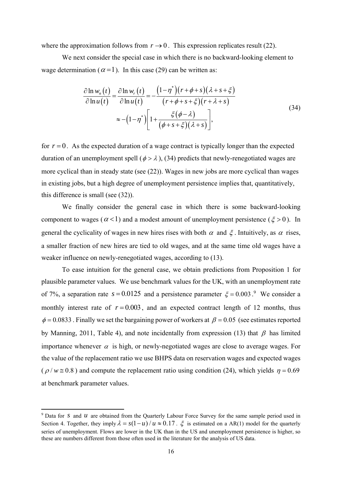where the approximation follows from  $r \to 0$ . This expression replicates result (22).

We next consider the special case in which there is no backward-looking element to wage determination ( $\alpha = 1$ ). In this case (29) can be written as:

$$
\frac{\partial \ln w_n(t)}{\partial \ln u(t)} = \frac{\partial \ln w_r(t)}{\partial \ln u(t)} = -\frac{\left(1 - \eta^*\right)\left(r + \phi + s\right)\left(\lambda + s + \xi\right)}{\left(r + \phi + s + \xi\right)\left(r + \lambda + s\right)}
$$
\n
$$
\approx -\left(1 - \eta^*\right)\left[1 + \frac{\xi(\phi - \lambda)}{\left(\phi + s + \xi\right)\left(\lambda + s\right)}\right],\tag{34}
$$

for  $r = 0$ . As the expected duration of a wage contract is typically longer than the expected duration of an unemployment spell ( $\phi > \lambda$ ), (34) predicts that newly-renegotiated wages are more cyclical than in steady state (see (22)). Wages in new jobs are more cyclical than wages in existing jobs, but a high degree of unemployment persistence implies that, quantitatively, this difference is small (see (32)).

We finally consider the general case in which there is some backward-looking component to wages ( $\alpha$ <1) and a modest amount of unemployment persistence ( $\xi$ >0). In general the cyclicality of wages in new hires rises with both  $\alpha$  and  $\xi$ . Intuitively, as  $\alpha$  rises, a smaller fraction of new hires are tied to old wages, and at the same time old wages have a weaker influence on newly-renegotiated wages, according to (13).

To ease intuition for the general case, we obtain predictions from Proposition 1 for plausible parameter values. We use benchmark values for the UK, with an unemployment rate of 7%, a separation rate  $s = 0.0125$  and a persistence parameter  $\xi = 0.003$ .<sup>9</sup> We consider a monthly interest rate of  $r = 0.003$ , and an expected contract length of 12 months, thus  $\phi$  = 0.0833. Finally we set the bargaining power of workers at  $\beta$  = 0.05 (see estimates reported by Manning, 2011, Table 4), and note incidentally from expression (13) that  $\beta$  has limited importance whenever  $\alpha$  is high, or newly-negotiated wages are close to average wages. For the value of the replacement ratio we use BHPS data on reservation wages and expected wages ( $\rho$ / $w \approx 0.8$ ) and compute the replacement ratio using condition (24), which yields  $\eta = 0.69$ at benchmark parameter values.

<sup>&</sup>lt;sup>9</sup> Data for *s* and *u* are obtained from the Quarterly Labour Force Survey for the same sample period used in Section 4. Together, they imply  $\lambda = s(1 - u)/u \approx 0.17$ .  $\xi$  is estimated on a AR(1) model for the quarterly series of unemployment. Flows are lower in the UK than in the US and unemployment persistence is higher, so these are numbers different from those often used in the literature for the analysis of US data.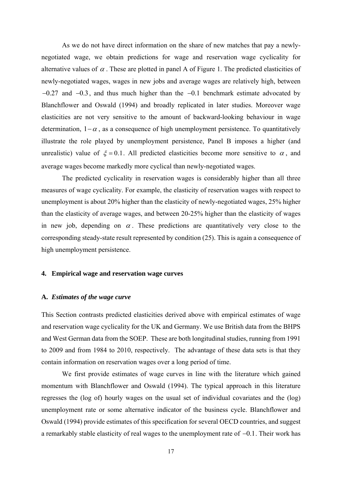As we do not have direct information on the share of new matches that pay a newlynegotiated wage, we obtain predictions for wage and reservation wage cyclicality for alternative values of  $\alpha$ . These are plotted in panel A of Figure 1. The predicted elasticities of newly-negotiated wages, wages in new jobs and average wages are relatively high, between  $-0.27$  and  $-0.3$ , and thus much higher than the  $-0.1$  benchmark estimate advocated by Blanchflower and Oswald (1994) and broadly replicated in later studies. Moreover wage elasticities are not very sensitive to the amount of backward-looking behaviour in wage determination,  $1 - \alpha$ , as a consequence of high unemployment persistence. To quantitatively illustrate the role played by unemployment persistence, Panel B imposes a higher (and unrealistic) value of  $\xi = 0.1$ . All predicted elasticities become more sensitive to  $\alpha$ , and average wages become markedly more cyclical than newly-negotiated wages.

The predicted cyclicality in reservation wages is considerably higher than all three measures of wage cyclicality. For example, the elasticity of reservation wages with respect to unemployment is about 20% higher than the elasticity of newly-negotiated wages, 25% higher than the elasticity of average wages, and between 20-25% higher than the elasticity of wages in new job, depending on  $\alpha$ . These predictions are quantitatively very close to the corresponding steady-state result represented by condition (25). This is again a consequence of high unemployment persistence.

#### **4. Empirical wage and reservation wage curves**

#### **A.** *Estimates of the wage curve*

This Section contrasts predicted elasticities derived above with empirical estimates of wage and reservation wage cyclicality for the UK and Germany. We use British data from the BHPS and West German data from the SOEP. These are both longitudinal studies, running from 1991 to 2009 and from 1984 to 2010, respectively. The advantage of these data sets is that they contain information on reservation wages over a long period of time.

We first provide estimates of wage curves in line with the literature which gained momentum with Blanchflower and Oswald (1994). The typical approach in this literature regresses the (log of) hourly wages on the usual set of individual covariates and the (log) unemployment rate or some alternative indicator of the business cycle. Blanchflower and Oswald (1994) provide estimates of this specification for several OECD countries, and suggest a remarkably stable elasticity of real wages to the unemployment rate of  $-0.1$ . Their work has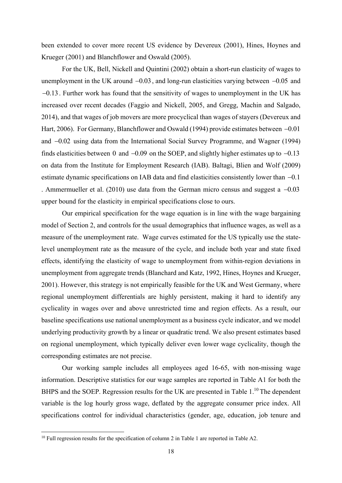been extended to cover more recent US evidence by Devereux (2001), Hines, Hoynes and Krueger (2001) and Blanchflower and Oswald (2005).

For the UK, Bell, Nickell and Quintini (2002) obtain a short-run elasticity of wages to unemployment in the UK around  $-0.03$ , and long-run elasticities varying between  $-0.05$  and  $-0.13$ . Further work has found that the sensitivity of wages to unemployment in the UK has increased over recent decades (Faggio and Nickell, 2005, and Gregg, Machin and Salgado, 2014), and that wages of job movers are more procyclical than wages of stayers (Devereux and Hart, 2006). For Germany, Blanchflower and Oswald (1994) provide estimates between  $-0.01$ and  $-0.02$  using data from the International Social Survey Programme, and Wagner (1994) finds elasticities between 0 and  $-0.09$  on the SOEP, and slightly higher estimates up to  $-0.13$ on data from the Institute for Employment Research (IAB). Baltagi, Blien and Wolf (2009) estimate dynamic specifications on IAB data and find elasticities consistently lower than  $-0.1$ . Ammermueller et al. (2010) use data from the German micro census and suggest a  $-0.03$ upper bound for the elasticity in empirical specifications close to ours.

Our empirical specification for the wage equation is in line with the wage bargaining model of Section 2, and controls for the usual demographics that influence wages, as well as a measure of the unemployment rate. Wage curves estimated for the US typically use the statelevel unemployment rate as the measure of the cycle, and include both year and state fixed effects, identifying the elasticity of wage to unemployment from within-region deviations in unemployment from aggregate trends (Blanchard and Katz, 1992, Hines, Hoynes and Krueger, 2001). However, this strategy is not empirically feasible for the UK and West Germany, where regional unemployment differentials are highly persistent, making it hard to identify any cyclicality in wages over and above unrestricted time and region effects. As a result, our baseline specifications use national unemployment as a business cycle indicator, and we model underlying productivity growth by a linear or quadratic trend. We also present estimates based on regional unemployment, which typically deliver even lower wage cyclicality, though the corresponding estimates are not precise.

Our working sample includes all employees aged 16-65, with non-missing wage information. Descriptive statistics for our wage samples are reported in Table A1 for both the BHPS and the SOEP. Regression results for the UK are presented in Table 1.<sup>10</sup> The dependent variable is the log hourly gross wage, deflated by the aggregate consumer price index. All specifications control for individual characteristics (gender, age, education, job tenure and

 $10$  Full regression results for the specification of column 2 in Table 1 are reported in Table A2.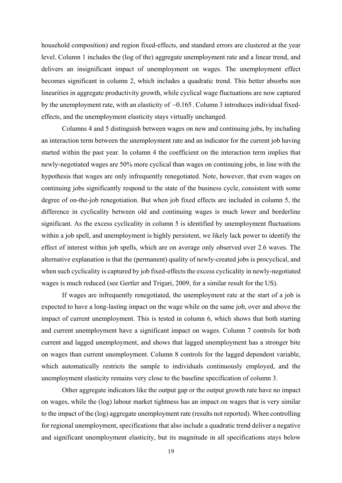household composition) and region fixed-effects, and standard errors are clustered at the year level. Column 1 includes the (log of the) aggregate unemployment rate and a linear trend, and delivers an insignificant impact of unemployment on wages. The unemployment effect becomes significant in column 2, which includes a quadratic trend. This better absorbs non linearities in aggregate productivity growth, while cyclical wage fluctuations are now captured by the unemployment rate, with an elasticity of  $-0.165$ . Column 3 introduces individual fixedeffects, and the unemployment elasticity stays virtually unchanged.

Columns 4 and 5 distinguish between wages on new and continuing jobs, by including an interaction term between the unemployment rate and an indicator for the current job having started within the past year. In column 4 the coefficient on the interaction term implies that newly-negotiated wages are 50% more cyclical than wages on continuing jobs, in line with the hypothesis that wages are only infrequently renegotiated. Note, however, that even wages on continuing jobs significantly respond to the state of the business cycle, consistent with some degree of on-the-job renegotiation. But when job fixed effects are included in column 5, the difference in cyclicality between old and continuing wages is much lower and borderline significant. As the excess cyclicality in column 5 is identified by unemployment fluctuations within a job spell, and unemployment is highly persistent, we likely lack power to identify the effect of interest within job spells, which are on average only observed over 2.6 waves. The alternative explanation is that the (permanent) quality of newly-created jobs is procyclical, and when such cyclicality is captured by job fixed-effects the excess cyclicality in newly-negotiated wages is much reduced (see Gertler and Trigari, 2009, for a similar result for the US).

If wages are infrequently renegotiated, the unemployment rate at the start of a job is expected to have a long-lasting impact on the wage while on the same job, over and above the impact of current unemployment. This is tested in column 6, which shows that both starting and current unemployment have a significant impact on wages. Column 7 controls for both current and lagged unemployment, and shows that lagged unemployment has a stronger bite on wages than current unemployment. Column 8 controls for the lagged dependent variable, which automatically restricts the sample to individuals continuously employed, and the unemployment elasticity remains very close to the baseline specification of column 3.

Other aggregate indicators like the output gap or the output growth rate have no impact on wages, while the (log) labour market tightness has an impact on wages that is very similar to the impact of the (log) aggregate unemployment rate (results not reported). When controlling for regional unemployment, specifications that also include a quadratic trend deliver a negative and significant unemployment elasticity, but its magnitude in all specifications stays below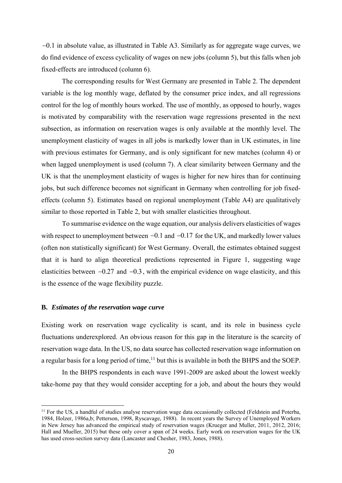$-0.1$  in absolute value, as illustrated in Table A3. Similarly as for aggregate wage curves, we do find evidence of excess cyclicality of wages on new jobs (column 5), but this falls when job fixed-effects are introduced (column 6).

The corresponding results for West Germany are presented in Table 2. The dependent variable is the log monthly wage, deflated by the consumer price index, and all regressions control for the log of monthly hours worked. The use of monthly, as opposed to hourly, wages is motivated by comparability with the reservation wage regressions presented in the next subsection, as information on reservation wages is only available at the monthly level. The unemployment elasticity of wages in all jobs is markedly lower than in UK estimates, in line with previous estimates for Germany, and is only significant for new matches (column 4) or when lagged unemployment is used (column 7). A clear similarity between Germany and the UK is that the unemployment elasticity of wages is higher for new hires than for continuing jobs, but such difference becomes not significant in Germany when controlling for job fixedeffects (column 5). Estimates based on regional unemployment (Table A4) are qualitatively similar to those reported in Table 2, but with smaller elasticities throughout.

To summarise evidence on the wage equation, our analysis delivers elasticities of wages with respect to unemployment between  $-0.1$  and  $-0.17$  for the UK, and markedly lower values (often non statistically significant) for West Germany. Overall, the estimates obtained suggest that it is hard to align theoretical predictions represented in Figure 1, suggesting wage elasticities between  $-0.27$  and  $-0.3$ , with the empirical evidence on wage elasticity, and this is the essence of the wage flexibility puzzle.

#### **B.** *Estimates of the reservation wage curve*

Existing work on reservation wage cyclicality is scant, and its role in business cycle fluctuations underexplored. An obvious reason for this gap in the literature is the scarcity of reservation wage data. In the US, no data source has collected reservation wage information on a regular basis for a long period of time,<sup>11</sup> but this is available in both the BHPS and the SOEP.

In the BHPS respondents in each wave 1991-2009 are asked about the lowest weekly take-home pay that they would consider accepting for a job, and about the hours they would

<sup>&</sup>lt;sup>11</sup> For the US, a handful of studies analyse reservation wage data occasionally collected (Feldstein and Poterba, 1984, Holzer, 1986a,b; Petterson, 1998, Ryscavage, 1988). In recent years the Survey of Unemployed Workers in New Jersey has advanced the empirical study of reservation wages (Krueger and Muller, 2011, 2012, 2016; Hall and Mueller, 2015) but these only cover a span of 24 weeks. Early work on reservation wages for the UK has used cross-section survey data (Lancaster and Chesher, 1983, Jones, 1988).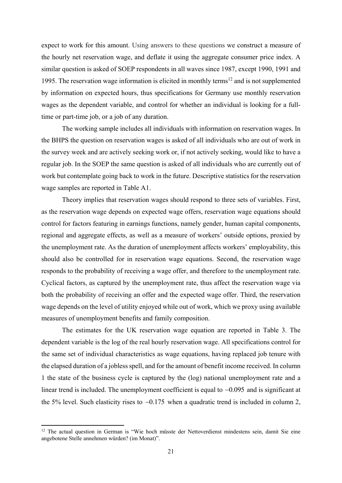expect to work for this amount. Using answers to these questions we construct a measure of the hourly net reservation wage, and deflate it using the aggregate consumer price index. A similar question is asked of SOEP respondents in all waves since 1987, except 1990, 1991 and 1995. The reservation wage information is elicited in monthly terms<sup>12</sup> and is not supplemented by information on expected hours, thus specifications for Germany use monthly reservation wages as the dependent variable, and control for whether an individual is looking for a fulltime or part-time job, or a job of any duration.

The working sample includes all individuals with information on reservation wages. In the BHPS the question on reservation wages is asked of all individuals who are out of work in the survey week and are actively seeking work or, if not actively seeking, would like to have a regular job. In the SOEP the same question is asked of all individuals who are currently out of work but contemplate going back to work in the future. Descriptive statistics for the reservation wage samples are reported in Table A1.

Theory implies that reservation wages should respond to three sets of variables. First, as the reservation wage depends on expected wage offers, reservation wage equations should control for factors featuring in earnings functions, namely gender, human capital components, regional and aggregate effects, as well as a measure of workers' outside options, proxied by the unemployment rate. As the duration of unemployment affects workers' employability, this should also be controlled for in reservation wage equations. Second, the reservation wage responds to the probability of receiving a wage offer, and therefore to the unemployment rate. Cyclical factors, as captured by the unemployment rate, thus affect the reservation wage via both the probability of receiving an offer and the expected wage offer. Third, the reservation wage depends on the level of utility enjoyed while out of work, which we proxy using available measures of unemployment benefits and family composition.

The estimates for the UK reservation wage equation are reported in Table 3. The dependent variable is the log of the real hourly reservation wage. All specifications control for the same set of individual characteristics as wage equations, having replaced job tenure with the elapsed duration of a jobless spell, and for the amount of benefit income received. In column 1 the state of the business cycle is captured by the (log) national unemployment rate and a linear trend is included. The unemployment coefficient is equal to  $-0.095$  and is significant at the 5% level. Such elasticity rises to  $-0.175$  when a quadratic trend is included in column 2,

<sup>&</sup>lt;sup>12</sup> The actual question in German is "Wie hoch müsste der Nettoverdienst mindestens sein, damit Sie eine angebotene Stelle annehmen würden? (im Monat)".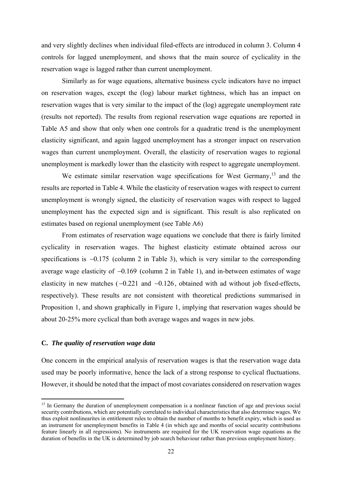and very slightly declines when individual filed-effects are introduced in column 3. Column 4 controls for lagged unemployment, and shows that the main source of cyclicality in the reservation wage is lagged rather than current unemployment.

Similarly as for wage equations, alternative business cycle indicators have no impact on reservation wages, except the (log) labour market tightness, which has an impact on reservation wages that is very similar to the impact of the (log) aggregate unemployment rate (results not reported). The results from regional reservation wage equations are reported in Table A5 and show that only when one controls for a quadratic trend is the unemployment elasticity significant, and again lagged unemployment has a stronger impact on reservation wages than current unemployment. Overall, the elasticity of reservation wages to regional unemployment is markedly lower than the elasticity with respect to aggregate unemployment.

We estimate similar reservation wage specifications for West Germany,<sup>13</sup> and the results are reported in Table 4. While the elasticity of reservation wages with respect to current unemployment is wrongly signed, the elasticity of reservation wages with respect to lagged unemployment has the expected sign and is significant. This result is also replicated on estimates based on regional unemployment (see Table A6)

From estimates of reservation wage equations we conclude that there is fairly limited cyclicality in reservation wages. The highest elasticity estimate obtained across our specifications is  $-0.175$  (column 2 in Table 3), which is very similar to the corresponding average wage elasticity of  $-0.169$  (column 2 in Table 1), and in-between estimates of wage elasticity in new matches  $(-0.221$  and  $-0.126$ , obtained with ad without job fixed-effects, respectively). These results are not consistent with theoretical predictions summarised in Proposition 1, and shown graphically in Figure 1, implying that reservation wages should be about 20-25% more cyclical than both average wages and wages in new jobs.

#### **C.** *The quality of reservation wage data*

One concern in the empirical analysis of reservation wages is that the reservation wage data used may be poorly informative, hence the lack of a strong response to cyclical fluctuations. However, it should be noted that the impact of most covariates considered on reservation wages

<sup>&</sup>lt;sup>13</sup> In Germany the duration of unemployment compensation is a nonlinear function of age and previous social security contributions, which are potentially correlated to individual characteristics that also determine wages. We thus exploit nonlinearites in entitlement rules to obtain the number of months to benefit expiry, which is used as an instrument for unemployment benefits in Table 4 (in which age and months of social security contributions feature linearly in all regressions). No instruments are required for the UK reservation wage equations as the duration of benefits in the UK is determined by job search behaviour rather than previous employment history.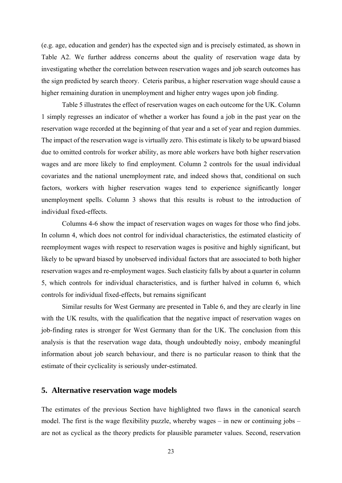(e.g. age, education and gender) has the expected sign and is precisely estimated, as shown in Table A2. We further address concerns about the quality of reservation wage data by investigating whether the correlation between reservation wages and job search outcomes has the sign predicted by search theory. Ceteris paribus, a higher reservation wage should cause a higher remaining duration in unemployment and higher entry wages upon job finding.

Table 5 illustrates the effect of reservation wages on each outcome for the UK. Column 1 simply regresses an indicator of whether a worker has found a job in the past year on the reservation wage recorded at the beginning of that year and a set of year and region dummies. The impact of the reservation wage is virtually zero. This estimate is likely to be upward biased due to omitted controls for worker ability, as more able workers have both higher reservation wages and are more likely to find employment. Column 2 controls for the usual individual covariates and the national unemployment rate, and indeed shows that, conditional on such factors, workers with higher reservation wages tend to experience significantly longer unemployment spells. Column 3 shows that this results is robust to the introduction of individual fixed-effects.

Columns 4-6 show the impact of reservation wages on wages for those who find jobs. In column 4, which does not control for individual characteristics, the estimated elasticity of reemployment wages with respect to reservation wages is positive and highly significant, but likely to be upward biased by unobserved individual factors that are associated to both higher reservation wages and re-employment wages. Such elasticity falls by about a quarter in column 5, which controls for individual characteristics, and is further halved in column 6, which controls for individual fixed-effects, but remains significant

Similar results for West Germany are presented in Table 6, and they are clearly in line with the UK results, with the qualification that the negative impact of reservation wages on job-finding rates is stronger for West Germany than for the UK. The conclusion from this analysis is that the reservation wage data, though undoubtedly noisy, embody meaningful information about job search behaviour, and there is no particular reason to think that the estimate of their cyclicality is seriously under-estimated.

#### **5. Alternative reservation wage models**

The estimates of the previous Section have highlighted two flaws in the canonical search model. The first is the wage flexibility puzzle, whereby wages  $-$  in new or continuing jobs  $$ are not as cyclical as the theory predicts for plausible parameter values. Second, reservation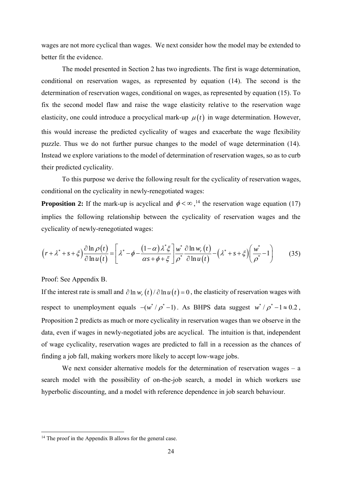wages are not more cyclical than wages. We next consider how the model may be extended to better fit the evidence.

The model presented in Section 2 has two ingredients. The first is wage determination, conditional on reservation wages, as represented by equation (14). The second is the determination of reservation wages, conditional on wages, as represented by equation (15). To fix the second model flaw and raise the wage elasticity relative to the reservation wage elasticity, one could introduce a procyclical mark-up  $\mu(t)$  in wage determination. However, this would increase the predicted cyclicality of wages and exacerbate the wage flexibility puzzle. Thus we do not further pursue changes to the model of wage determination (14). Instead we explore variations to the model of determination of reservation wages, so as to curb their predicted cyclicality.

To this purpose we derive the following result for the cyclicality of reservation wages, conditional on the cyclicality in newly-renegotiated wages:

**Proposition 2:** If the mark-up is acyclical and  $\phi < \infty$ ,<sup>14</sup> the reservation wage equation (17) implies the following relationship between the cyclicality of reservation wages and the cyclicality of newly-renegotiated wages:

$$
\left(r+\lambda^*+s+\xi\right)\frac{\partial\ln\rho(t)}{\partial\ln u(t)} = \left[\lambda^*-\phi-\frac{(1-\alpha)\lambda^*\xi}{\alpha s+\phi+\xi}\right]\frac{w^*}{\rho^*}\frac{\partial\ln w_r(t)}{\partial\ln u(t)} - \left(\lambda^*+s+\xi\right)\left(\frac{w^*}{\rho^*}-1\right) \tag{35}
$$

Proof: See Appendix B.

If the interest rate is small and  $\partial \ln w_x(t)/\partial \ln u(t) = 0$ , the elasticity of reservation wages with respect to unemployment equals  $-(w^*/\rho^*-1)$ . As BHPS data suggest  $w^*/\rho^*-1 \approx 0.2$ , Proposition 2 predicts as much or more cyclicality in reservation wages than we observe in the data, even if wages in newly-negotiated jobs are acyclical. The intuition is that, independent of wage cyclicality, reservation wages are predicted to fall in a recession as the chances of finding a job fall, making workers more likely to accept low-wage jobs.

We next consider alternative models for the determination of reservation wages – a search model with the possibility of on-the-job search, a model in which workers use hyperbolic discounting, and a model with reference dependence in job search behaviour.

<sup>&</sup>lt;sup>14</sup> The proof in the Appendix B allows for the general case.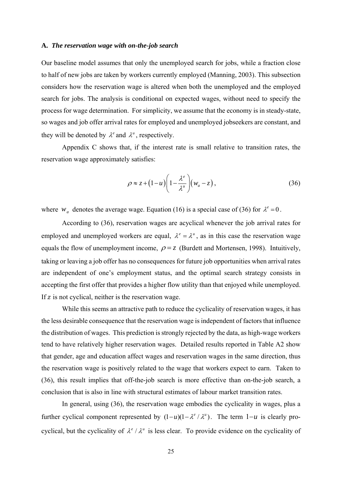#### **A.** *The reservation wage with on-the-job search*

Our baseline model assumes that only the unemployed search for jobs, while a fraction close to half of new jobs are taken by workers currently employed (Manning, 2003). This subsection considers how the reservation wage is altered when both the unemployed and the employed search for jobs. The analysis is conditional on expected wages, without need to specify the process for wage determination. For simplicity, we assume that the economy is in steady-state, so wages and job offer arrival rates for employed and unemployed jobseekers are constant, and they will be denoted by  $\lambda^e$  and  $\lambda^u$ , respectively.

Appendix C shows that, if the interest rate is small relative to transition rates, the reservation wage approximately satisfies:

$$
\rho \approx z + (1 - u) \left( 1 - \frac{\lambda^e}{\lambda^u} \right) \left( w_a - z \right),\tag{36}
$$

where  $w_a$  denotes the average wage. Equation (16) is a special case of (36) for  $\lambda^e = 0$ .

According to (36), reservation wages are acyclical whenever the job arrival rates for employed and unemployed workers are equal,  $\lambda^e = \lambda^u$ , as in this case the reservation wage equals the flow of unemployment income,  $\rho = z$  (Burdett and Mortensen, 1998). Intuitively, taking or leaving a job offer has no consequences for future job opportunities when arrival rates are independent of one's employment status, and the optimal search strategy consists in accepting the first offer that provides a higher flow utility than that enjoyed while unemployed. If  $z$  is not cyclical, neither is the reservation wage.

While this seems an attractive path to reduce the cyclicality of reservation wages, it has the less desirable consequence that the reservation wage is independent of factors that influence the distribution of wages. This prediction is strongly rejected by the data, as high-wage workers tend to have relatively higher reservation wages. Detailed results reported in Table A2 show that gender, age and education affect wages and reservation wages in the same direction, thus the reservation wage is positively related to the wage that workers expect to earn. Taken to (36), this result implies that off-the-job search is more effective than on-the-job search, a conclusion that is also in line with structural estimates of labour market transition rates.

In general, using (36), the reservation wage embodies the cyclicality in wages, plus a further cyclical component represented by  $(1 - u)(1 - \lambda^e / \lambda^u)$ . The term  $1 - u$  is clearly procyclical, but the cyclicality of  $\lambda^e / \lambda^u$  is less clear. To provide evidence on the cyclicality of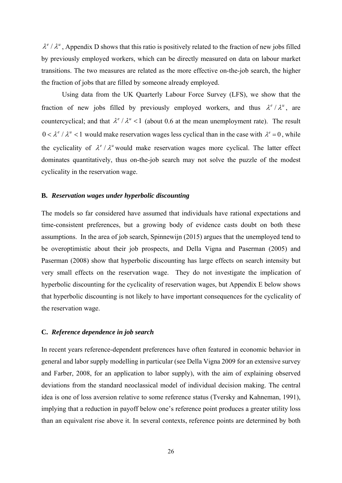$\lambda^e/\lambda^u$ , Appendix D shows that this ratio is positively related to the fraction of new jobs filled by previously employed workers, which can be directly measured on data on labour market transitions. The two measures are related as the more effective on-the-job search, the higher the fraction of jobs that are filled by someone already employed.

Using data from the UK Quarterly Labour Force Survey (LFS), we show that the fraction of new jobs filled by previously employed workers, and thus  $\lambda^e/\lambda^u$ , are countercyclical; and that  $\lambda^e / \lambda^u < 1$  (about 0.6 at the mean unemployment rate). The result  $0 < \lambda^e / \lambda^u < 1$  would make reservation wages less cyclical than in the case with  $\lambda^e = 0$ , while the cyclicality of  $\lambda^e / \lambda^u$  would make reservation wages more cyclical. The latter effect dominates quantitatively, thus on-the-job search may not solve the puzzle of the modest cyclicality in the reservation wage.

#### **B.** *Reservation wages under hyperbolic discounting*

The models so far considered have assumed that individuals have rational expectations and time-consistent preferences, but a growing body of evidence casts doubt on both these assumptions. In the area of job search, Spinnewijn (2015) argues that the unemployed tend to be overoptimistic about their job prospects, and Della Vigna and Paserman (2005) and Paserman (2008) show that hyperbolic discounting has large effects on search intensity but very small effects on the reservation wage. They do not investigate the implication of hyperbolic discounting for the cyclicality of reservation wages, but Appendix E below shows that hyperbolic discounting is not likely to have important consequences for the cyclicality of the reservation wage.

#### **C.** *Reference dependence in job search*

In recent years reference-dependent preferences have often featured in economic behavior in general and labor supply modelling in particular (see Della Vigna 2009 for an extensive survey and Farber, 2008, for an application to labor supply), with the aim of explaining observed deviations from the standard neoclassical model of individual decision making. The central idea is one of loss aversion relative to some reference status (Tversky and Kahneman, 1991), implying that a reduction in payoff below one's reference point produces a greater utility loss than an equivalent rise above it. In several contexts, reference points are determined by both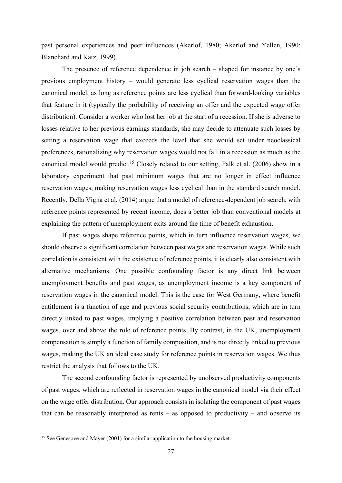past personal experiences and peer influences (Akerlof, 1980; Akerlof and Yellen, 1990; Blanchard and Katz, 1999).

The presence of reference dependence in job search – shaped for instance by one's previous employment history – would generate less cyclical reservation wages than the canonical model, as long as reference points are less cyclical than forward-looking variables that feature in it (typically the probability of receiving an offer and the expected wage offer distribution). Consider a worker who lost her job at the start of a recession. If she is adverse to losses relative to her previous earnings standards, she may decide to attenuate such losses by setting a reservation wage that exceeds the level that she would set under neoclassical preferences, rationalizing why reservation wages would not fall in a recession as much as the canonical model would predict.15 Closely related to our setting, Falk et al. (2006) show in a laboratory experiment that past minimum wages that are no longer in effect influence reservation wages, making reservation wages less cyclical than in the standard search model. Recently, Della Vigna et al. (2014) argue that a model of reference-dependent job search, with reference points represented by recent income, does a better job than conventional models at explaining the pattern of unemployment exits around the time of benefit exhaustion.

If past wages shape reference points, which in turn influence reservation wages, we should observe a significant correlation between past wages and reservation wages. While such correlation is consistent with the existence of reference points, it is clearly also consistent with alternative mechanisms. One possible confounding factor is any direct link between unemployment benefits and past wages, as unemployment income is a key component of reservation wages in the canonical model. This is the case for West Germany, where benefit entitlement is a function of age and previous social security contributions, which are in turn directly linked to past wages, implying a positive correlation between past and reservation wages, over and above the role of reference points. By contrast, in the UK, unemployment compensation is simply a function of family composition, and is not directly linked to previous wages, making the UK an ideal case study for reference points in reservation wages. We thus restrict the analysis that follows to the UK.

The second confounding factor is represented by unobserved productivity components of past wages, which are reflected in reservation wages in the canonical model via their effect on the wage offer distribution. Our approach consists in isolating the component of past wages that can be reasonably interpreted as rents – as opposed to productivity – and observe its

<sup>&</sup>lt;sup>15</sup> See Genesove and Mayer (2001) for a similar application to the housing market.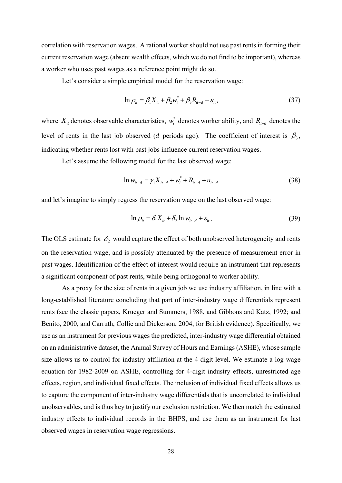correlation with reservation wages. A rational worker should not use past rents in forming their current reservation wage (absent wealth effects, which we do not find to be important), whereas a worker who uses past wages as a reference point might do so.

Let's consider a simple empirical model for the reservation wage:

$$
\ln \rho_{it} = \beta_1 X_{it} + \beta_2 w_i^* + \beta_3 R_{it-d} + \varepsilon_{it}, \qquad (37)
$$

where  $X_{it}$  denotes observable characteristics,  $w_i^*$  denotes worker ability, and  $R_{it-d}$  denotes the level of rents in the last job observed (*d* periods ago). The coefficient of interest is  $\beta_3$ , indicating whether rents lost with past jobs influence current reservation wages.

Let's assume the following model for the last observed wage:

$$
\ln w_{it-d} = \gamma_1 X_{it-d} + w_i^* + R_{it-d} + u_{it-d}
$$
\n(38)

and let's imagine to simply regress the reservation wage on the last observed wage:

$$
\ln \rho_{it} = \delta_1 X_{it} + \delta_2 \ln w_{it-d} + \varepsilon_{it}.
$$
\n(39)

The OLS estimate for  $\delta$ , would capture the effect of both unobserved heterogeneity and rents on the reservation wage, and is possibly attenuated by the presence of measurement error in past wages. Identification of the effect of interest would require an instrument that represents a significant component of past rents, while being orthogonal to worker ability.

As a proxy for the size of rents in a given job we use industry affiliation, in line with a long-established literature concluding that part of inter-industry wage differentials represent rents (see the classic papers, Krueger and Summers, 1988, and Gibbons and Katz, 1992; and Benito, 2000, and Carruth, Collie and Dickerson, 2004, for British evidence). Specifically, we use as an instrument for previous wages the predicted, inter-industry wage differential obtained on an administrative dataset, the Annual Survey of Hours and Earnings (ASHE), whose sample size allows us to control for industry affiliation at the 4-digit level. We estimate a log wage equation for 1982-2009 on ASHE, controlling for 4-digit industry effects, unrestricted age effects, region, and individual fixed effects. The inclusion of individual fixed effects allows us to capture the component of inter-industry wage differentials that is uncorrelated to individual unobservables, and is thus key to justify our exclusion restriction. We then match the estimated industry effects to individual records in the BHPS, and use them as an instrument for last observed wages in reservation wage regressions.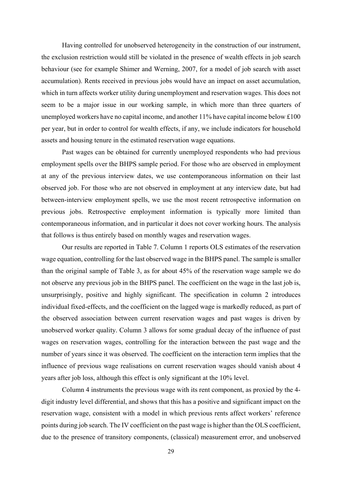Having controlled for unobserved heterogeneity in the construction of our instrument, the exclusion restriction would still be violated in the presence of wealth effects in job search behaviour (see for example Shimer and Werning, 2007, for a model of job search with asset accumulation). Rents received in previous jobs would have an impact on asset accumulation, which in turn affects worker utility during unemployment and reservation wages. This does not seem to be a major issue in our working sample, in which more than three quarters of unemployed workers have no capital income, and another 11% have capital income below £100 per year, but in order to control for wealth effects, if any, we include indicators for household assets and housing tenure in the estimated reservation wage equations.

Past wages can be obtained for currently unemployed respondents who had previous employment spells over the BHPS sample period. For those who are observed in employment at any of the previous interview dates, we use contemporaneous information on their last observed job. For those who are not observed in employment at any interview date, but had between-interview employment spells, we use the most recent retrospective information on previous jobs. Retrospective employment information is typically more limited than contemporaneous information, and in particular it does not cover working hours. The analysis that follows is thus entirely based on monthly wages and reservation wages.

Our results are reported in Table 7. Column 1 reports OLS estimates of the reservation wage equation, controlling for the last observed wage in the BHPS panel. The sample is smaller than the original sample of Table 3, as for about 45% of the reservation wage sample we do not observe any previous job in the BHPS panel. The coefficient on the wage in the last job is, unsurprisingly, positive and highly significant. The specification in column 2 introduces individual fixed-effects, and the coefficient on the lagged wage is markedly reduced, as part of the observed association between current reservation wages and past wages is driven by unobserved worker quality. Column 3 allows for some gradual decay of the influence of past wages on reservation wages, controlling for the interaction between the past wage and the number of years since it was observed. The coefficient on the interaction term implies that the influence of previous wage realisations on current reservation wages should vanish about 4 years after job loss, although this effect is only significant at the 10% level.

Column 4 instruments the previous wage with its rent component, as proxied by the 4 digit industry level differential, and shows that this has a positive and significant impact on the reservation wage, consistent with a model in which previous rents affect workers' reference points during job search. The IV coefficient on the past wage is higher than the OLS coefficient, due to the presence of transitory components, (classical) measurement error, and unobserved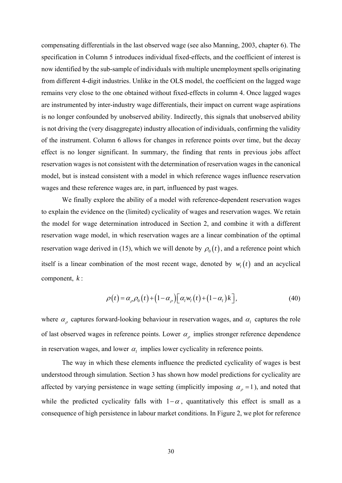compensating differentials in the last observed wage (see also Manning, 2003, chapter 6). The specification in Column 5 introduces individual fixed-effects, and the coefficient of interest is now identified by the sub-sample of individuals with multiple unemployment spells originating from different 4-digit industries. Unlike in the OLS model, the coefficient on the lagged wage remains very close to the one obtained without fixed-effects in column 4. Once lagged wages are instrumented by inter-industry wage differentials, their impact on current wage aspirations is no longer confounded by unobserved ability. Indirectly, this signals that unobserved ability is not driving the (very disaggregate) industry allocation of individuals, confirming the validity of the instrument. Column 6 allows for changes in reference points over time, but the decay effect is no longer significant. In summary, the finding that rents in previous jobs affect reservation wages is not consistent with the determination of reservation wages in the canonical model, but is instead consistent with a model in which reference wages influence reservation wages and these reference wages are, in part, influenced by past wages.

We finally explore the ability of a model with reference-dependent reservation wages to explain the evidence on the (limited) cyclicality of wages and reservation wages. We retain the model for wage determination introduced in Section 2, and combine it with a different reservation wage model, in which reservation wages are a linear combination of the optimal reservation wage derived in (15), which we will denote by  $\rho_0(t)$ , and a reference point which itself is a linear combination of the most recent wage, denoted by  $w_i(t)$  and an acyclical component, *k* :

$$
\rho(t) = \alpha_{\rho} \rho_0(t) + (1 - \alpha_{\rho}) \big[ \alpha_l w_l(t) + (1 - \alpha_l) k \big], \tag{40}
$$

where  $\alpha_{\rho}$  captures forward-looking behaviour in reservation wages, and  $\alpha_{l}$  captures the role of last observed wages in reference points. Lower  $\alpha_{\rho}$  implies stronger reference dependence in reservation wages, and lower  $\alpha_l$  implies lower cyclicality in reference points.

The way in which these elements influence the predicted cyclicality of wages is best understood through simulation. Section 3 has shown how model predictions for cyclicality are affected by varying persistence in wage setting (implicitly imposing  $\alpha_{\rho} = 1$ ), and noted that while the predicted cyclicality falls with  $1-\alpha$ , quantitatively this effect is small as a consequence of high persistence in labour market conditions. In Figure 2, we plot for reference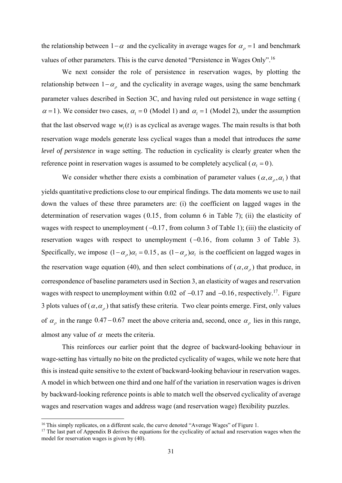the relationship between  $1-\alpha$  and the cyclicality in average wages for  $\alpha_{\rho} = 1$  and benchmark values of other parameters. This is the curve denoted "Persistence in Wages Only".16

We next consider the role of persistence in reservation wages, by plotting the relationship between  $1 - \alpha_{\alpha}$  and the cyclicality in average wages, using the same benchmark parameter values described in Section 3C, and having ruled out persistence in wage setting (  $\alpha = 1$ ). We consider two cases,  $\alpha_i = 0$  (Model 1) and  $\alpha_i = 1$  (Model 2), under the assumption that the last observed wage  $w_i(t)$  is as cyclical as average wages. The main results is that both reservation wage models generate less cyclical wages than a model that introduces *the same level of persistence* in wage setting. The reduction in cyclicality is clearly greater when the reference point in reservation wages is assumed to be completely acyclical ( $\alpha_l = 0$ ).

We consider whether there exists a combination of parameter values ( $\alpha, \alpha_{\rho}, \alpha_{\rho}$ ) that yields quantitative predictions close to our empirical findings. The data moments we use to nail down the values of these three parameters are: (i) the coefficient on lagged wages in the determination of reservation wages ( 0.15, from column 6 in Table 7); (ii) the elasticity of wages with respect to unemployment  $(-0.17,$  from column 3 of Table 1); (iii) the elasticity of reservation wages with respect to unemployment  $(-0.16,$  from column 3 of Table 3). Specifically, we impose  $(1 - \alpha_o)\alpha_i = 0.15$ , as  $(1 - \alpha_o)\alpha_i$  is the coefficient on lagged wages in the reservation wage equation (40), and then select combinations of ( $\alpha, \alpha_{\rho}$ ) that produce, in correspondence of baseline parameters used in Section 3, an elasticity of wages and reservation wages with respect to unemployment within 0.02 of  $-0.17$  and  $-0.16$ , respectively.<sup>17</sup>. Figure 3 plots values of  $(\alpha, \alpha)$  that satisfy these criteria. Two clear points emerge. First, only values of  $\alpha_{\rho}$  in the range 0.47 – 0.67 meet the above criteria and, second, once  $\alpha_{\rho}$  lies in this range, almost any value of  $\alpha$  meets the criteria.

This reinforces our earlier point that the degree of backward-looking behaviour in wage-setting has virtually no bite on the predicted cyclicality of wages, while we note here that this is instead quite sensitive to the extent of backward-looking behaviour in reservation wages. A model in which between one third and one half of the variation in reservation wages is driven by backward-looking reference points is able to match well the observed cyclicality of average wages and reservation wages and address wage (and reservation wage) flexibility puzzles.

<sup>&</sup>lt;sup>16</sup> This simply replicates, on a different scale, the curve denoted "Average Wages" of Figure 1.

 $17$  The last part of Appendix B derives the equations for the cyclicality of actual and reservation wages when the model for reservation wages is given by (40).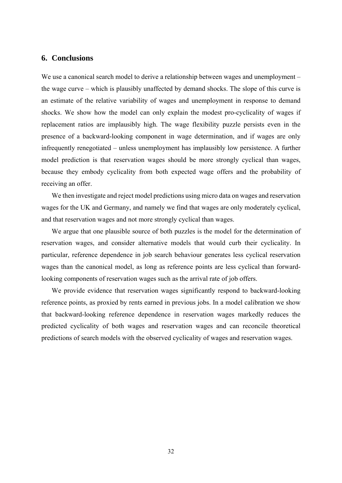#### **6. Conclusions**

We use a canonical search model to derive a relationship between wages and unemployment – the wage curve – which is plausibly unaffected by demand shocks. The slope of this curve is an estimate of the relative variability of wages and unemployment in response to demand shocks. We show how the model can only explain the modest pro-cyclicality of wages if replacement ratios are implausibly high. The wage flexibility puzzle persists even in the presence of a backward-looking component in wage determination, and if wages are only infrequently renegotiated – unless unemployment has implausibly low persistence. A further model prediction is that reservation wages should be more strongly cyclical than wages, because they embody cyclicality from both expected wage offers and the probability of receiving an offer.

We then investigate and reject model predictions using micro data on wages and reservation wages for the UK and Germany, and namely we find that wages are only moderately cyclical, and that reservation wages and not more strongly cyclical than wages.

We argue that one plausible source of both puzzles is the model for the determination of reservation wages, and consider alternative models that would curb their cyclicality. In particular, reference dependence in job search behaviour generates less cyclical reservation wages than the canonical model, as long as reference points are less cyclical than forwardlooking components of reservation wages such as the arrival rate of job offers.

We provide evidence that reservation wages significantly respond to backward-looking reference points, as proxied by rents earned in previous jobs. In a model calibration we show that backward-looking reference dependence in reservation wages markedly reduces the predicted cyclicality of both wages and reservation wages and can reconcile theoretical predictions of search models with the observed cyclicality of wages and reservation wages.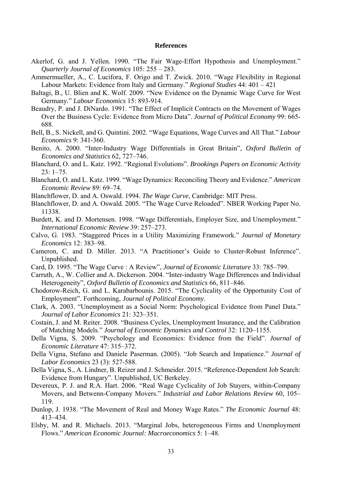#### **References**

- Akerlof, G. and J. Yellen. 1990. "The Fair Wage-Effort Hypothesis and Unemployment." *Quarterly Journal of Economics* 105: 255 – 283.
- Ammermueller, A., C. Lucifora, F. Origo and T. Zwick. 2010. "Wage Flexibility in Regional Labour Markets: Evidence from Italy and Germany." *Regional Studies* 44: 401 – 421
- Baltagi, B., U. Blien and K. Wolf. 2009. "New Evidence on the Dynamic Wage Curve for West Germany." *Labour Economics* 15: 893-914.
- Beaudry, P. and J. DiNardo. 1991. "The Effect of Implicit Contracts on the Movement of Wages Over the Business Cycle: Evidence from Micro Data". *Journal of Political Economy* 99: 665- 688.
- Bell, B., S. Nickell, and G. Quintini. 2002. "Wage Equations, Wage Curves and All That." *Labour Economics* 9: 341-360.
- Benito, A. 2000. "Inter-Industry Wage Differentials in Great Britain", *Oxford Bulletin of Economics and Statistics* 62, 727–746.
- Blanchard, O. and L. Katz. 1992. "Regional Evolutions". *Brookings Papers on Economic Activity* 23: 1–75.
- Blanchard, O. and L. Katz. 1999. "Wage Dynamics: Reconciling Theory and Evidence." *American Economic Review* 89: 69–74.
- Blanchflower, D. and A. Oswald. 1994. *The Wage Curve*, Cambridge: MIT Press.
- Blanchflower, D. and A. Oswald. 2005. "The Wage Curve Reloaded". NBER Working Paper No. 11338.
- Burdett, K. and D. Mortensen. 1998. "Wage Differentials, Employer Size, and Unemployment." *International Economic Review* 39: 257–273.
- Calvo, G. 1983. "Staggered Prices in a Utility Maximizing Framework." *Journal of Monetary Economics* 12: 383–98.
- Cameron, C. and D. Miller. 2013. "A Practitioner's Guide to Cluster-Robust Inference". Unpublished.
- Card, D. 1995. "The Wage Curve : A Review", *Journal of Economic Literature* 33: 785–799.
- Carruth, A., W. Collier and A. Dickerson. 2004. "Inter-industry Wage Differences and Individual Heterogeneity", *Oxford Bulletin of Economics and Statistics* 66, 811–846.
- Chodorow-Reich, G. and L. Karabarbounis. 2015. "The Cyclicality of the Opportunity Cost of Employment". Forthcoming, *Journal of Political Economy*.
- Clark, A. 2003. "Unemployment as a Social Norm: Psychological Evidence from Panel Data." *Journal of Labor Economics* 21: 323–351.
- Costain, J. and M. Reiter. 2008. "Business Cycles, Unemployment Insurance, and the Calibration of Matching Models." *Journal of Economic Dynamics and Control* 32: 1120–1155.
- Della Vigna, S. 2009. "Psychology and Economics: Evidence from the Field". *Journal of Economic Literature* 47: 315–372.
- Della Vigna, Stefano and Daniele Paserman. (2005). "Job Search and Impatience." *Journal of Labor Economics* 23 (3): 527-588.
- Della Vigna, S., A. Lindner, B. Reizer and J. Schmeider. 2015. "Reference-Dependent Job Search: Evidence from Hungary". Unpublished, UC Berkeley.
- Devereux, P. J. and R.A. Hart. 2006. "Real Wage Cyclicality of Job Stayers, within-Company Movers, and Betwenn-Company Movers." *Industrial and Labor Relations Review* 60, 105– 119.
- Dunlop, J. 1938. "The Movement of Real and Money Wage Rates." *The Economic Journal* 48: 413–434.
- Elsby, M. and R. Michaels. 2013. "Marginal Jobs, heterogeneous Firms and Unemployment Flows." *American Economic Journal: Macroeconomics* 5: 1–48.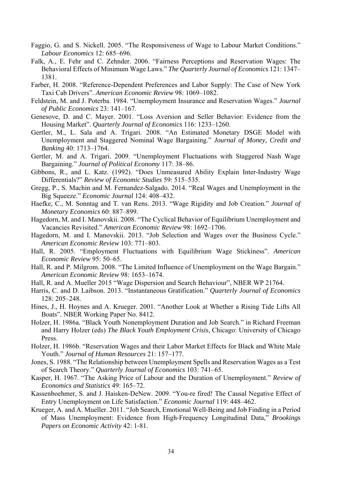- Faggio, G. and S. Nickell. 2005. "The Responsiveness of Wage to Labour Market Conditions." *Labour Economics* 12: 685–696.
- Falk, A., E. Fehr and C. Zehnder. 2006. "Fairness Perceptions and Reservation Wages: The Behavioral Effects of Minimum Wage Laws." *The Quarterly Journal of Economics* 121: 1347– 1381.
- Farber, H. 2008. "Reference-Dependent Preferences and Labor Supply: The Case of New York Taxi Cab Drivers". *American Economic Review* 98: 1069–1082.
- Feldstein, M. and J. Poterba. 1984. "Unemployment Insurance and Reservation Wages." *Journal of Public Economics* 23: 141–167.
- Genesove, D. and C. Mayer. 2001. "Loss Aversion and Seller Behavior: Evidence from the Housing Market". *Quarterly Journal of Economics* 116: 1233–1260.
- Gertler, M., L. Sala and A. Trigari. 2008. "An Estimated Monetary DSGE Model with Unemployment and Staggered Nominal Wage Bargaining." *Journal of Money, Credit and Banking* 40: 1713–1764.
- Gertler, M. and A. Trigari. 2009. "Unemployment Fluctuations with Staggered Nash Wage Bargaining." *Journal of Political Economy* 117: 38–86.
- Gibbons, R., and L. Katz. (1992). "Does Unmeasured Ability Explain Inter-Industry Wage Differentials?" *Review of Economic Studies* 59: 515–535.
- Gregg, P., S. Machin and M. Fernandez-Salgado. 2014. "Real Wages and Unemployment in the Big Squeeze." *Economic Journal* 124: 408–432.
- Haefke, C., M. Sonntag and T. van Rens. 2013. "Wage Rigidity and Job Creation." *Journal of Monetary Economics* 60: 887–899.
- Hagedorn, M. and I. Manovskii. 2008. "The Cyclical Behavior of Equilibrium Unemployment and Vacancies Revisited." *American Economic Review* 98: 1692–1706.
- Hagedorn, M. and I. Manovskii. 2013. "Job Selection and Wages over the Business Cycle." *American Economic Review* 103: 771–803.
- Hall, R. 2005. "Employment Fluctuations with Equilibrium Wage Stickiness". *American Economic Review* 95: 50–65.
- Hall, R. and P. Milgrom. 2008. "The Limited Influence of Unemployment on the Wage Bargain." *American Economic Review* 98: 1653–1674.
- Hall, R. and A. Mueller 2015 "Wage Dispersion and Search Behaviour", NBER WP 21764.
- Harris, C. and D. Laibson. 2013. "Instantaneous Gratification." *Quarterly Journal of Economics* 128: 205–248.
- Hines, J., H. Hoynes and A. Krueger. 2001. "Another Look at Whether a Rising Tide Lifts All Boats". NBER Working Paper No. 8412.
- Holzer, H. 1986a. "Black Youth Nonemployment Duration and Job Search." in Richard Freeman and Harry Holzer (eds) *The Black Youth Employment Crisis*, Chicago: University of Chicago Press.
- Holzer, H. 1986b. "Reservation Wages and their Labor Market Effects for Black and White Male Youth." *Journal of Human Resources* 21: 157–177.
- Jones, S. 1988. "The Relationship between Unemployment Spells and Reservation Wages as a Test of Search Theory." *Quarterly Journal of Economics* 103: 741–65.
- Kasper, H. 1967. "The Asking Price of Labour and the Duration of Unemployment." *Review of Economics and Statistics* 49: 165–72.
- Kassenboehmer, S. and J. Haisken-DeNew. 2009. "You-re fired! The Causal Negative Effect of Entry Unemployment on Life Satisfaction." *Economic Journal* 119: 448–462.
- Krueger, A. and A. Mueller. 2011. "Job Search, Emotional Well‐Being and Job Finding in a Period of Mass Unemployment: Evidence from High‐Frequency Longitudinal Data," *Brookings Papers on Economic Activity* 42: 1‐81.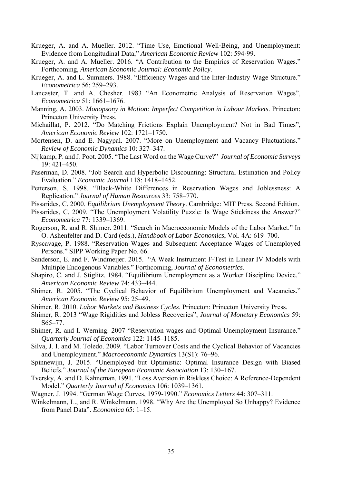- Krueger, A. and A. Mueller. 2012. "Time Use, Emotional Well‐Being, and Unemployment: Evidence from Longitudinal Data," *American Economic Review* 102: 594‐99.
- Krueger, A. and A. Mueller. 2016. "A Contribution to the Empirics of Reservation Wages." Forthcoming, *American Economic Journal: Economic Policy*.
- Krueger, A. and L. Summers. 1988. "Efficiency Wages and the Inter-Industry Wage Structure." *Econometrica* 56: 259–293.
- Lancaster, T. and A. Chesher. 1983 "An Econometric Analysis of Reservation Wages", *Econometrica* 51: 1661–1676.
- Manning, A. 2003. *Monopsony in Motion: Imperfect Competition in Labour Markets*. Princeton: Princeton University Press.
- Michaillat, P. 2012. "Do Matching Frictions Explain Unemployment? Not in Bad Times", *American Economic Review* 102: 1721–1750.
- Mortensen, D. and E. Nagypal. 2007. "More on Unemployment and Vacancy Fluctuations." *Review of Economic Dynamics* 10: 327–347.
- Nijkamp, P. and J. Poot. 2005. "The Last Word on the Wage Curve?" *Journal of Economic Surveys* 19: 421–450.
- Paserman, D. 2008. "Job Search and Hyperbolic Discounting: Structural Estimation and Policy Evaluation." *Economic Journal* 118: 1418–1452.
- Petterson, S. 1998. "Black-White Differences in Reservation Wages and Joblessness: A Replication." *Journal of Human Resources* 33: 758–770.
- Pissarides, C. 2000. *Equilibrium Unemployment Theory*. Cambridge: MIT Press. Second Edition.
- Pissarides, C. 2009. "The Unemployment Volatility Puzzle: Is Wage Stickiness the Answer?" *Econometrica* 77: 1339–1369.
- Rogerson, R. and R. Shimer. 2011. "Search in Macroeconomic Models of the Labor Market." In O. Ashenfelter and D. Card (eds.), *Handbook of Labor Economics*, Vol. 4A: 619–700.
- Ryscavage, P. 1988. "Reservation Wages and Subsequent Acceptance Wages of Unemployed Persons." SIPP Working Paper No. 66.
- Sanderson, E. and F. Windmeijer. 2015. "A Weak Instrument F-Test in Linear IV Models with Multiple Endogenous Variables." Forthcoming, *Journal of Econometrics*.
- Shapiro, C. and J. Stiglitz. 1984. "Equilibrium Unemployment as a Worker Discipline Device." *American Economic Review* 74: 433–444.
- Shimer, R. 2005. "The Cyclical Behavior of Equilibrium Unemployment and Vacancies." *American Economic Review* 95: 25–49.
- Shimer, R. 2010. *Labor Markets and Business Cycles*. Princeton: Princeton University Press.
- Shimer, R. 2013 "Wage Rigidities and Jobless Recoveries", *Journal of Monetary Economics* 59: S65–77.
- Shimer, R. and I. Werning. 2007 "Reservation wages and Optimal Unemployment Insurance." *Quarterly Journal of Economics* 122: 1145–1185.
- Silva, J. I. and M. Toledo. 2009. "Labor Turnover Costs and the Cyclical Behavior of Vacancies and Unemployment." *Macroeconomic Dynamics* 13(S1): 76–96.
- Spinnewijn, J. 2015. "Unemployed but Optimistic: Optimal Insurance Design with Biased Beliefs." *Journal of the European Economic Association* 13: 130–167.
- Tversky, A. and D. Kahneman. 1991. "Loss Aversion in Riskless Choice: A Reference-Dependent Model." *Quarterly Journal of Economics* 106: 1039–1361.
- Wagner, J. 1994. "German Wage Curves, 1979-1990." *Economics Letters* 44: 307–311.
- Winkelmann, L., and R. Winkelmann. 1998. "Why Are the Unemployed So Unhappy? Evidence from Panel Data". *Economica* 65: 1–15.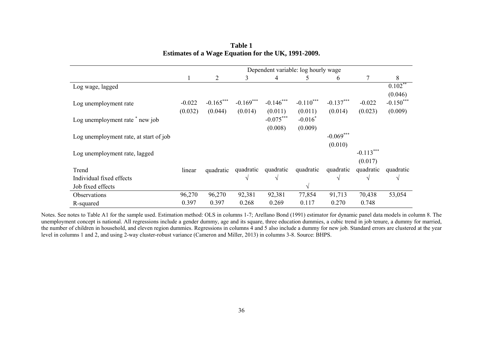|                                        | Dependent variable: log hourly wage |                |             |             |             |             |             |             |  |
|----------------------------------------|-------------------------------------|----------------|-------------|-------------|-------------|-------------|-------------|-------------|--|
|                                        |                                     | $\overline{2}$ | 3           | 4           | 5           | 6           | 7           | 8           |  |
| Log wage, lagged                       |                                     |                |             |             |             |             |             | $0.102***$  |  |
|                                        |                                     |                |             |             |             |             |             | (0.046)     |  |
| Log unemployment rate                  | $-0.022$                            | $-0.165***$    | $-0.169***$ | $-0.146***$ | $-0.110***$ | $-0.137***$ | $-0.022$    | $-0.150***$ |  |
|                                        | (0.032)                             | (0.044)        | (0.014)     | (0.011)     | (0.011)     | (0.014)     | (0.023)     | (0.009)     |  |
| Log unemployment rate * new job        |                                     |                |             | $-0.075***$ | $-0.016^*$  |             |             |             |  |
|                                        |                                     |                |             | (0.008)     | (0.009)     |             |             |             |  |
| Log unemployment rate, at start of job |                                     |                |             |             |             | $-0.069***$ |             |             |  |
|                                        |                                     |                |             |             |             | (0.010)     |             |             |  |
| Log unemployment rate, lagged          |                                     |                |             |             |             |             | $-0.113***$ |             |  |
|                                        |                                     |                |             |             |             |             | (0.017)     |             |  |
| Trend                                  | linear                              | quadratic      | quadratic   | quadratic   | quadratic   | quadratic   | quadratic   | quadratic   |  |
| Individual fixed effects               |                                     |                | $\sqrt{ }$  | $\sqrt{ }$  |             | $\sqrt{ }$  | V           | $\sqrt{ }$  |  |
| Job fixed effects                      |                                     |                |             |             | V           |             |             |             |  |
| Observations                           | 96,270                              | 96,270         | 92,381      | 92,381      | 77,854      | 91,713      | 70,438      | 53,054      |  |
| R-squared                              | 0.397                               | 0.397          | 0.268       | 0.269       | 0.117       | 0.270       | 0.748       |             |  |

**Table 1 Estimates of a Wage Equation for the UK, 1991-2009.** 

Notes. See notes to Table A1 for the sample used. Estimation method: OLS in columns 1-7; Arellano Bond (1991) estimator for dynamic panel data models in column 8. The unemployment concept is national. All regressions include a gender dummy, age and its square, three education dummies, a cubic trend in job tenure, a dummy for married, the number of children in household, and eleven region dummies. Regressions in columns 4 and 5 also include a dummy for new job. Standard errors are clustered at the year level in columns 1 and 2, and using 2-way cluster-robust variance (Cameron and Miller, 2013) in columns 3-8. Source: BHPS.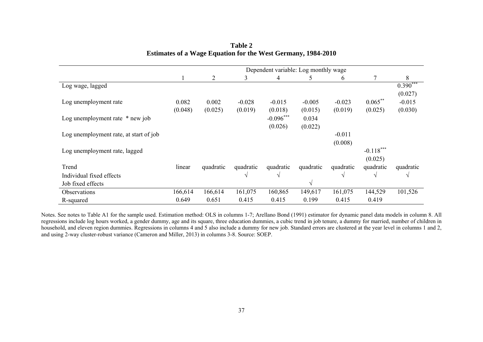|                                        | Dependent variable: Log monthly wage |           |           |               |           |           |             |            |  |  |
|----------------------------------------|--------------------------------------|-----------|-----------|---------------|-----------|-----------|-------------|------------|--|--|
|                                        |                                      | 2         | 3         | 4             | 5         | 6         |             | 8          |  |  |
| Log wage, lagged                       |                                      |           |           |               |           |           |             | $0.390***$ |  |  |
|                                        |                                      |           |           |               |           |           |             | (0.027)    |  |  |
| Log unemployment rate                  | 0.082                                | 0.002     | $-0.028$  | $-0.015$      | $-0.005$  | $-0.023$  | $0.065***$  | $-0.015$   |  |  |
|                                        | (0.048)                              | (0.025)   | (0.019)   | (0.018)       | (0.015)   | (0.019)   | (0.025)     | (0.030)    |  |  |
| Log unemployment rate $*$ new job      |                                      |           |           | $-0.096***$   | 0.034     |           |             |            |  |  |
|                                        |                                      |           |           | (0.026)       | (0.022)   |           |             |            |  |  |
| Log unemployment rate, at start of job |                                      |           |           |               |           | $-0.011$  |             |            |  |  |
|                                        |                                      |           |           |               |           | (0.008)   |             |            |  |  |
| Log unemployment rate, lagged          |                                      |           |           |               |           |           | $-0.118***$ |            |  |  |
|                                        |                                      |           |           |               |           |           | (0.025)     |            |  |  |
| Trend                                  | linear                               | quadratic | quadratic | quadratic     | quadratic | quadratic | quadratic   | quadratic  |  |  |
| Individual fixed effects               |                                      |           | V         | $\mathcal{N}$ |           |           | $\sqrt{ }$  | V          |  |  |
| Job fixed effects                      |                                      |           |           |               | V         |           |             |            |  |  |
| <b>Observations</b>                    | 166,614                              | 166,614   | 161,075   | 160,865       | 149,617   | 161,075   | 144,529     | 101,526    |  |  |
| R-squared                              | 0.649                                | 0.651     | 0.415     | 0.415         | 0.199     | 0.415     | 0.419       |            |  |  |

**Table 2 Estimates of a Wage Equation for the West Germany, 1984-2010** 

Notes. See notes to Table A1 for the sample used. Estimation method: OLS in columns 1-7; Arellano Bond (1991) estimator for dynamic panel data models in column 8. All regressions include log hours worked, a gender dummy, age and its square, three education dummies, a cubic trend in job tenure, a dummy for married, number of children in household, and eleven region dummies. Regressions in columns 4 and 5 also include a dummy for new job. Standard errors are clustered at the year level in columns 1 and 2, and using 2-way cluster-robust variance (Cameron and Miller, 2013) in columns 3-8. Source: SOEP.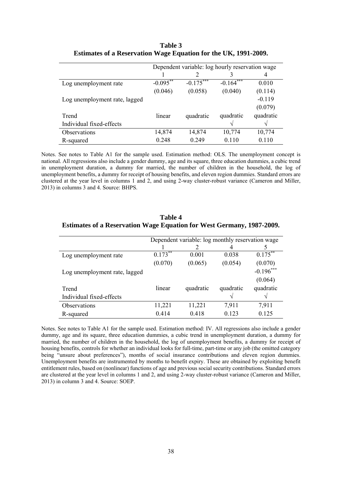|                               |             | Dependent variable: log hourly reservation wage |             |           |
|-------------------------------|-------------|-------------------------------------------------|-------------|-----------|
|                               |             |                                                 |             | 4         |
| Log unemployment rate         | $-0.095***$ | $-0.175***$                                     | $-0.164***$ | 0.010     |
|                               | (0.046)     | (0.058)                                         | (0.040)     | (0.114)   |
| Log unemployment rate, lagged |             |                                                 |             | $-0.119$  |
|                               |             |                                                 |             | (0.079)   |
| Trend                         | linear      | quadratic                                       | quadratic   | quadratic |
| Individual fixed-effects      |             |                                                 |             | ٦         |
| Observations                  | 14,874      | 14,874                                          | 10,774      | 10,774    |
| R-squared                     | 0.248       | 0.249                                           | 0.110       | 0.110     |

#### **Table 3 Estimates of a Reservation Wage Equation for the UK, 1991-2009.**

Notes. See notes to Table A1 for the sample used. Estimation method: OLS. The unemployment concept is national. All regressions also include a gender dummy, age and its square, three education dummies, a cubic trend in unemployment duration, a dummy for married, the number of children in the household, the log of unemployment benefits, a dummy for receipt of housing benefits, and eleven region dummies. Standard errors are clustered at the year level in columns 1 and 2, and using 2-way cluster-robust variance (Cameron and Miller, 2013) in columns 3 and 4. Source: BHPS.

|                               |            | Dependent variable: log monthly reservation wage |               |             |
|-------------------------------|------------|--------------------------------------------------|---------------|-------------|
|                               |            |                                                  |               |             |
| Log unemployment rate         | $0.173***$ | 0.001                                            | 0.038         | $0.175***$  |
|                               | (0.070)    | (0.065)                                          | (0.054)       | (0.070)     |
| Log unemployment rate, lagged |            |                                                  |               | $-0.196***$ |
|                               |            |                                                  |               | (0.064)     |
| Trend                         | linear     | quadratic                                        | quadratic     | quadratic   |
| Individual fixed-effects      |            |                                                  | $\mathcal{N}$ |             |
| Observations                  | 11,221     | 11,221                                           | 7,911         | 7,911       |
| R-squared                     | 0.414      | 0.418                                            | 0.123         | 0.125       |

#### **Table 4 Estimates of a Reservation Wage Equation for West Germany, 1987-2009.**

Notes. See notes to Table A1 for the sample used. Estimation method: IV. All regressions also include a gender dummy, age and its square, three education dummies, a cubic trend in unemployment duration, a dummy for married, the number of children in the household, the log of unemployment benefits, a dummy for receipt of housing benefits, controls for whether an individual looks for full-time, part-time or any job (the omitted category being "unsure about preferences"), months of social insurance contributions and eleven region dummies. Unemployment benefits are instrumented by months to benefit expiry. These are obtained by exploiting benefit entitlement rules, based on (nonlinear) functions of age and previous social security contributions. Standard errors are clustered at the year level in columns 1 and 2, and using 2-way cluster-robust variance (Cameron and Miller, 2013) in column 3 and 4. Source: SOEP.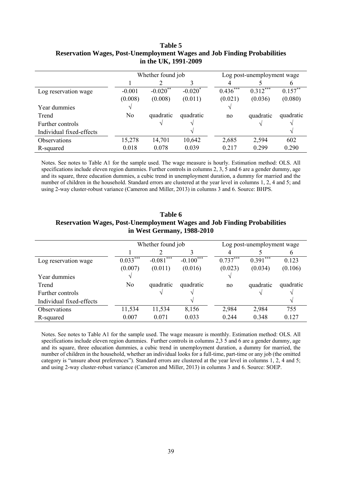|                          |          | Whether found job      |            |            | Log post-unemployment wage |            |  |  |  |
|--------------------------|----------|------------------------|------------|------------|----------------------------|------------|--|--|--|
|                          |          |                        |            |            |                            |            |  |  |  |
| Log reservation wage     | $-0.001$ | $-0.020$ <sup>**</sup> | $-0.020^*$ | $0.436***$ | $0.312***$                 | $0.157***$ |  |  |  |
|                          | (0.008)  | (0.008)                | (0.011)    | (0.021)    | (0.036)                    | (0.080)    |  |  |  |
| Year dummies             |          |                        |            |            |                            |            |  |  |  |
| Trend                    | No       | quadratic              | quadratic  | no         | quadratic                  | quadratic  |  |  |  |
| Further controls         |          | N                      |            |            |                            |            |  |  |  |
| Individual fixed-effects |          |                        |            |            |                            | ٦          |  |  |  |
| Observations             | 15,278   | 14,701                 | 10,642     | 2,685      | 2,594                      | 602        |  |  |  |
| R-squared                | 0.018    | 0.078                  | 0.039      | 0.217      | 0.299                      | 0.290      |  |  |  |

#### **Table 5 Reservation Wages, Post-Unemployment Wages and Job Finding Probabilities in the UK, 1991-2009**

Notes. See notes to Table A1 for the sample used. The wage measure is hourly. Estimation method: OLS. All specifications include eleven region dummies. Further controls in columns 2, 3, 5 and 6 are a gender dummy, age and its square, three education dummies, a cubic trend in unemployment duration, a dummy for married and the number of children in the household. Standard errors are clustered at the year level in columns 1, 2, 4 and 5; and using 2-way cluster-robust variance (Cameron and Miller, 2013) in columns 3 and 6. Source: BHPS.

| in west Germany, 1988-2010 |                |                   |             |            |                            |           |  |  |  |  |
|----------------------------|----------------|-------------------|-------------|------------|----------------------------|-----------|--|--|--|--|
|                            |                | Whether found job |             |            | Log post-unemployment wage |           |  |  |  |  |
|                            |                |                   |             | 4          |                            | b         |  |  |  |  |
| Log reservation wage       | $0.033***$     | $-0.081***$       | $-0.100***$ | $0.737***$ | $0.391$ <sup>***</sup>     | 0.123     |  |  |  |  |
|                            | (0.007)        | (0.011)           | (0.016)     | (0.023)    | (0.034)                    | (0.106)   |  |  |  |  |
| Year dummies               |                |                   |             |            |                            |           |  |  |  |  |
| Trend                      | N <sub>0</sub> | quadratic         | quadratic   | no         | quadratic                  | quadratic |  |  |  |  |
| Further controls           |                |                   |             |            |                            |           |  |  |  |  |
| Individual fixed-effects   |                |                   |             |            |                            |           |  |  |  |  |
| Observations               | 11,534         | 11,534            | 8,156       | 2,984      | 2,984                      | 755       |  |  |  |  |
| R-squared                  | 0.007          | 0.071             | 0.033       | 0.244      | 0.348                      | 0.127     |  |  |  |  |

**Table 6 Reservation Wages, Post-Unemployment Wages and Job Finding Probabilities in West Germany, 1988-2010** 

Notes. See notes to Table A1 for the sample used. The wage measure is monthly. Estimation method: OLS. All specifications include eleven region dummies. Further controls in columns 2,3 5 and 6 are a gender dummy, age and its square, three education dummies, a cubic trend in unemployment duration, a dummy for married, the number of children in the household, whether an individual looks for a full-time, part-time or any job (the omitted category is "unsure about preferences"). Standard errors are clustered at the year level in columns 1, 2, 4 and 5; and using 2-way cluster-robust variance (Cameron and Miller, 2013) in columns 3 and 6. Source: SOEP.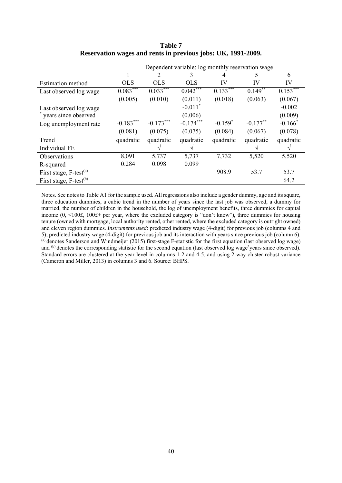|                                    | Dependent variable: log monthly reservation wage |                        |                        |            |             |                        |  |  |  |  |
|------------------------------------|--------------------------------------------------|------------------------|------------------------|------------|-------------|------------------------|--|--|--|--|
|                                    |                                                  | 2                      | 3                      | 4          | 5           | 6                      |  |  |  |  |
| <b>Estimation</b> method           | <b>OLS</b>                                       | <b>OLS</b>             | <b>OLS</b>             | IV         | IV          | IV                     |  |  |  |  |
| Last observed log wage             | $0.083***$                                       | $0.033$ <sup>***</sup> | $0.042$ <sup>***</sup> | $0.133***$ | $0.149**$   | $0.153$ <sup>***</sup> |  |  |  |  |
|                                    | (0.005)                                          | (0.010)                | (0.011)                | (0.018)    | (0.063)     | (0.067)                |  |  |  |  |
| Last observed log wage             |                                                  |                        | $-0.011$ <sup>*</sup>  |            |             | $-0.002$               |  |  |  |  |
| years since observed               |                                                  |                        | (0.006)                |            |             | (0.009)                |  |  |  |  |
| Log unemployment rate              | $-0.183***$                                      | $-0.173***$            | $-0.174***$            | $-0.159*$  | $-0.177$ ** | $-0.166*$              |  |  |  |  |
|                                    | (0.081)                                          | (0.075)                | (0.075)                | (0.084)    | (0.067)     | (0.078)                |  |  |  |  |
| Trend                              | quadratic                                        | quadratic              | quadratic              | quadratic  | quadratic   | quadratic              |  |  |  |  |
| Individual FE                      |                                                  | $\mathcal{N}$          |                        |            |             | N                      |  |  |  |  |
| Observations                       | 8,091                                            | 5,737                  | 5,737                  | 7,732      | 5,520       | 5,520                  |  |  |  |  |
| R-squared                          | 0.284                                            | 0.098                  | 0.099                  |            |             |                        |  |  |  |  |
| First stage, F-test <sup>(a)</sup> |                                                  |                        |                        | 908.9      | 53.7        | 53.7                   |  |  |  |  |
| First stage, F-test <sup>(b)</sup> |                                                  |                        |                        |            |             | 64.2                   |  |  |  |  |

**Table 7 Reservation wages and rents in previous jobs: UK, 1991-2009.** 

Notes. See notes to Table A1 for the sample used. All regressions also include a gender dummy, age and its square, three education dummies, a cubic trend in the number of years since the last job was observed, a dummy for married, the number of children in the household, the log of unemployment benefits, three dummies for capital income (0, <100£, 100£+ per year, where the excluded category is "don't know"), three dummies for housing tenure (owned with mortgage, local authority rented, other rented, where the excluded category is outright owned) and eleven region dummies. *Instruments used*: predicted industry wage (4-digit) for previous job (columns 4 and 5); predicted industry wage (4-digit) for previous job and its interaction with years since previous job (column 6). (a) denotes Sanderson and Windmeijer (2015) first-stage F-statistic for the first equation (last observed log wage) and  $(b)$  denotes the corresponding statistic for the second equation (last observed log wage\*years since observed). Standard errors are clustered at the year level in columns 1-2 and 4-5, and using 2-way cluster-robust variance (Cameron and Miller, 2013) in columns 3 and 6. Source: BHPS.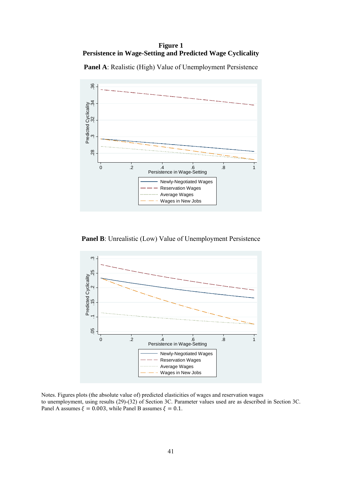**Figure 1 Persistence in Wage-Setting and Predicted Wage Cyclicality** 

**Panel A**: Realistic (High) Value of Unemployment Persistence



**Panel B**: Unrealistic (Low) Value of Unemployment Persistence



Notes. Figures plots (the absolute value of) predicted elasticities of wages and reservation wages to unemployment, using results (29)-(32) of Section 3C. Parameter values used are as described in Section 3C. Panel A assumes  $\xi = 0.003$ , while Panel B assumes  $\xi = 0.1$ .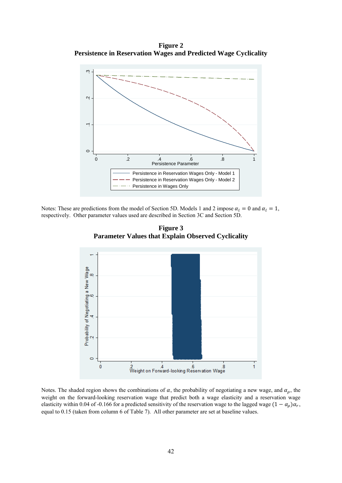**Figure 2 Persistence in Reservation Wages and Predicted Wage Cyclicality** 



Notes: These are predictions from the model of Section 5D. Models 1 and 2 impose  $\alpha_l = 0$  and  $\alpha_l = 1$ , respectively. Other parameter values used are described in Section 3C and Section 5D.





Notes. The shaded region shows the combinations of  $\alpha$ , the probability of negotiating a new wage, and  $\alpha_{\rho}$ , the weight on the forward-looking reservation wage that predict both a wage elasticity and a reservation wage elasticity within 0.04 of -0.166 for a predicted sensitivity of the reservation wage to the lagged wage  $(1 - \alpha_o)\alpha_r$ , equal to 0.15 (taken from column 6 of Table 7). All other parameter are set at baseline values.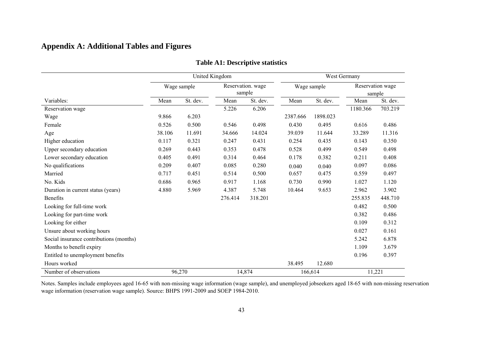## **Appendix A: Additional Tables and Figures**

|                                         |        |             | United Kingdom |                             | West Germany |             |          |                            |
|-----------------------------------------|--------|-------------|----------------|-----------------------------|--------------|-------------|----------|----------------------------|
|                                         |        | Wage sample |                | Reservation. wage<br>sample |              | Wage sample |          | Reservation wage<br>sample |
| Variables:                              | Mean   | St. dev.    | Mean           | St. dev.                    | Mean         | St. dev.    | Mean     | St. dev.                   |
| Reservation wage                        |        |             | 5.226          | 6.206                       |              |             | 1180.366 | 703.219                    |
| Wage                                    | 9.866  | 6.203       |                |                             | 2387.666     | 1898.023    |          |                            |
| Female                                  | 0.526  | 0.500       | 0.546          | 0.498                       | 0.430        | 0.495       | 0.616    | 0.486                      |
| Age                                     | 38.106 | 11.691      | 34.666         | 14.024                      | 39.039       | 11.644      | 33.289   | 11.316                     |
| Higher education                        | 0.117  | 0.321       | 0.247          | 0.431                       | 0.254        | 0.435       | 0.143    | 0.350                      |
| Upper secondary education               | 0.269  | 0.443       | 0.353          | 0.478                       | 0.528        | 0.499       | 0.549    | 0.498                      |
| Lower secondary education               | 0.405  | 0.491       | 0.314          | 0.464                       | 0.178        | 0.382       | 0.211    | 0.408                      |
| No qualifications                       | 0.209  | 0.407       | 0.085          | 0.280                       | 0.040        | 0.040       | 0.097    | 0.086                      |
| Married                                 | 0.717  | 0.451       | 0.514          | 0.500                       | 0.657        | 0.475       | 0.559    | 0.497                      |
| No. Kids                                | 0.686  | 0.965       | 0.917          | 1.168                       | 0.730        | 0.990       | 1.027    | 1.120                      |
| Duration in current status (years)      | 4.880  | 5.969       | 4.387          | 5.748                       | 10.464       | 9.653       | 2.962    | 3.902                      |
| <b>Benefits</b>                         |        |             | 276.414        | 318.201                     |              |             | 255.835  | 448.710                    |
| Looking for full-time work              |        |             |                |                             |              |             | 0.482    | 0.500                      |
| Looking for part-time work              |        |             |                |                             |              |             | 0.382    | 0.486                      |
| Looking for either                      |        |             |                |                             |              |             | 0.109    | 0.312                      |
| Unsure about working hours              |        |             |                |                             |              |             | 0.027    | 0.161                      |
| Social insurance contributions (months) |        |             |                |                             |              |             | 5.242    | 6.878                      |
| Months to benefit expiry                |        |             |                |                             |              |             | 1.109    | 3.679                      |
| Entitled to unemployment benefits       |        |             |                |                             |              |             | 0.196    | 0.397                      |
| Hours worked                            |        |             |                |                             | 38.495       | 12.680      |          |                            |
| Number of observations                  |        | 96,270      |                | 14,874                      | 166,614      |             | 11,221   |                            |

#### **Table A1: Descriptive statistics**

Notes. Samples include employees aged 16-65 with non-missing wage information (wage sample), and unemployed jobseekers aged 18-65 with non-missing reservation wage information (reservation wage sample). Source: BHPS 1991-2009 and SOEP 1984-2010.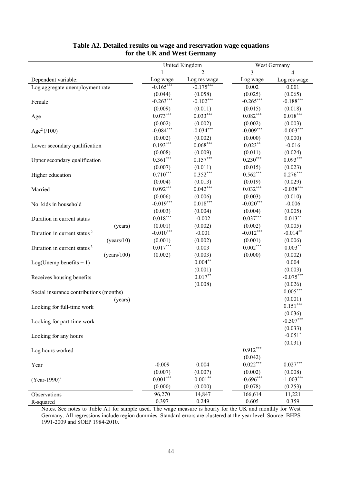|                                         |                 | United Kingdom |             | West Germany |
|-----------------------------------------|-----------------|----------------|-------------|--------------|
|                                         |                 |                | 3           | 4            |
| Dependent variable:                     | Log wage        | Log res wage   | Log wage    | Log res wage |
| Log aggregate unemployment rate         | $-0.165***$     | $-0.175***$    | 0.002       | 0.001        |
|                                         | (0.044)         | (0.058)        | (0.025)     | (0.065)      |
| Female                                  | $-0.263***$     | $-0.102***$    | $-0.265***$ | $-0.188***$  |
|                                         | (0.009)         | (0.011)        | (0.015)     | (0.018)      |
| Age                                     | $0.073***$      | $0.033***$     | $0.082***$  | $0.018***$   |
|                                         | (0.002)         | (0.002)        | (0.002)     | (0.003)      |
| Age <sup>2</sup> (/100)                 | $-0.084***$     | $-0.034***$    | $-0.009***$ | $-0.003***$  |
|                                         | (0.002)         | (0.002)        | (0.000)     | (0.000)      |
| Lower secondary qualification           | $0.193***$      | $0.068***$     | $0.023***$  | $-0.016$     |
|                                         | (0.008)         | (0.009)        | (0.011)     | (0.024)      |
| Upper secondary qualification           | $0.361***$      | $0.157***$     | $0.230***$  | $0.093***$   |
|                                         | (0.007)         | (0.011)        | (0.015)     | (0.023)      |
| Higher education                        | $0.710***$      | $0.352***$     | $0.562***$  | $0.276***$   |
|                                         | (0.004)         | (0.013)        | (0.019)     | (0.029)      |
| Married                                 | $0.092***$      | $0.042***$     | $0.032***$  | $-0.038***$  |
|                                         | (0.006)         | (0.006)        | (0.003)     | (0.010)      |
| No. kids in household                   | $-0.019***$     | $0.018***$     | $-0.020***$ | $-0.006$     |
|                                         | (0.003)         | (0.004)        | (0.004)     | (0.005)      |
| Duration in current status              | $0.018^{***}\,$ | $-0.002$       | $0.037***$  | $0.013***$   |
| (years)                                 | (0.001)         | (0.002)        | (0.002)     | (0.005)      |
| Duration in current status <sup>2</sup> | $-0.010***$     | $-0.001$       | $-0.012***$ | $-0.014**$   |
| (years/10)                              | (0.001)         | (0.002)        | (0.001)     | (0.006)      |
| Duration in current status <sup>3</sup> | $0.017***$      | 0.003          | $0.002***$  | $0.003***$   |
| (years/100)                             | (0.002)         | (0.003)        | (0.000)     | (0.002)      |
| $Log(Unemp benefits + 1)$               |                 | $0.004**$      |             | 0.004        |
|                                         |                 | (0.001)        |             | (0.003)      |
| Receives housing benefits               |                 | $0.017**$      |             | $-0.075***$  |
|                                         |                 | (0.008)        |             | (0.026)      |
| Social insurance contributions (months) |                 |                |             | $0.005***$   |
| (years)                                 |                 |                |             | (0.001)      |
| Looking for full-time work              |                 |                |             | $0.151***$   |
|                                         |                 |                |             | (0.036)      |
| Looking for part-time work              |                 |                |             | $-0.507***$  |
|                                         |                 |                |             | (0.033)      |
| Looking for any hours                   |                 |                |             | $-0.051*$    |
|                                         |                 |                |             | (0.031)      |
| Log hours worked                        |                 |                | $0.912***$  |              |
|                                         |                 |                | (0.042)     |              |
| Year                                    | $-0.009$        | 0.004          | $0.022***$  | $0.027***$   |
|                                         | (0.007)         | (0.007)        | (0.002)     | (0.008)      |
| $(Year-1990)^2$                         | $0.001***$      | $0.001**$      | $-0.696***$ | $-1.003***$  |
|                                         | (0.000)         | (0.000)        | (0.078)     | (0.253)      |
| Observations                            | 96,270          | 14,847         | 166, 614    | 11,221       |
| R-squared                               | 0.397           | 0.249          | 0.605       | 0.359        |
|                                         |                 |                |             |              |

#### **Table A2. Detailed results on wage and reservation wage equations for the UK and West Germany**

Notes. See notes to Table A1 for sample used. The wage measure is hourly for the UK and monthly for West Germany. All regressions include region dummies. Standard errors are clustered at the year level. Source: BHPS 1991-2009 and SOEP 1984-2010.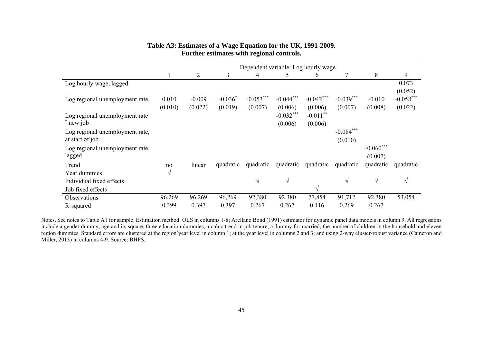#### **Table A3: Estimates of a Wage Equation for the UK, 1991-2009. Further estimates with regional controls.**

|                                                    |                  | Dependent variable: Log hourly wage |                      |                        |                        |                        |                        |                        |                        |  |  |
|----------------------------------------------------|------------------|-------------------------------------|----------------------|------------------------|------------------------|------------------------|------------------------|------------------------|------------------------|--|--|
|                                                    | -1               | $\overline{2}$                      | 3                    | 4                      | 5                      | 6                      | 7                      | 8                      | 9                      |  |  |
| Log hourly wage, lagged                            |                  |                                     |                      |                        |                        |                        |                        |                        | 0.073<br>(0.052)       |  |  |
| Log regional unemployment rate                     | 0.010<br>(0.010) | $-0.009$<br>(0.022)                 | $-0.036*$<br>(0.019) | $-0.053***$<br>(0.007) | $-0.044***$<br>(0.006) | $-0.042***$<br>(0.006) | $-0.039***$<br>(0.007) | $-0.010$<br>(0.008)    | $-0.058***$<br>(0.022) |  |  |
| Log regional unemployment rate<br>new job          |                  |                                     |                      |                        | $-0.032***$<br>(0.006) | $-0.011$ **<br>(0.006) |                        |                        |                        |  |  |
| Log regional unemployment rate,<br>at start of job |                  |                                     |                      |                        |                        |                        | $-0.084***$<br>(0.010) |                        |                        |  |  |
| Log regional unemployment rate,<br>lagged          |                  |                                     |                      |                        |                        |                        |                        | $-0.060***$<br>(0.007) |                        |  |  |
| Trend                                              | no               | linear                              | quadratic            | quadratic              | quadratic              | quadratic              | quadratic              | quadratic              | quadratic              |  |  |
| Year dummies                                       | V                |                                     |                      |                        |                        |                        |                        |                        |                        |  |  |
| Individual fixed effects                           |                  |                                     |                      | $\sqrt{ }$             | $\sqrt{ }$             |                        | $\sqrt{ }$             | $\sqrt{ }$             | $\sqrt{ }$             |  |  |
| Job fixed effects                                  |                  |                                     |                      |                        |                        | V                      |                        |                        |                        |  |  |
| Observations                                       | 96,269           | 96,269                              | 96,269               | 92,380                 | 92,380                 | 77,854                 | 91,712                 | 92,380                 | 53,054                 |  |  |
| R-squared                                          | 0.399            | 0.397                               | 0.397                | 0.267                  | 0.267                  | 0.116                  | 0.269                  | 0.267                  |                        |  |  |

Notes. See notes to Table A1 for sample. Estimation method: OLS in columns 1-8; Arellano Bond (1991) estimator for dynamic panel data models in column 9. All regressions include a gender dummy, age and its square, three education dummies, a cubic trend in job tenure, a dummy for married, the number of children in the household and eleven region dummies. Standard errors are clustered at the region\*year level in column 1; at the year level in columns 2 and 3; and using 2-way cluster-robust variance (Cameron and Miller, 2013) in columns 4-9. Source: BHPS.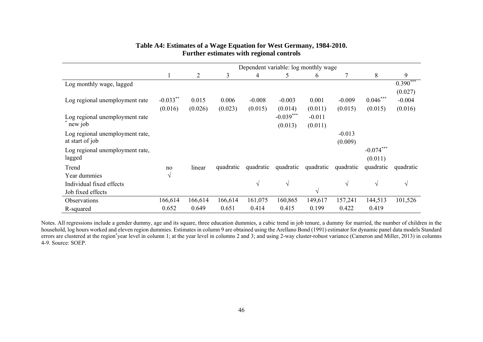| Table A4: Estimates of a Wage Equation for West Germany, 1984-2010. |
|---------------------------------------------------------------------|
| Further estimates with regional controls                            |

|                                 |             | Dependent variable: log monthly wage |           |            |             |            |            |             |            |  |  |
|---------------------------------|-------------|--------------------------------------|-----------|------------|-------------|------------|------------|-------------|------------|--|--|
|                                 | 1           | 2                                    | 3         | 4          | 5           | 6          |            | 8           | 9          |  |  |
| Log monthly wage, lagged        |             |                                      |           |            |             |            |            |             | $0.390***$ |  |  |
|                                 |             |                                      |           |            |             |            |            |             | (0.027)    |  |  |
| Log regional unemployment rate  | $-0.033$ ** | 0.015                                | 0.006     | $-0.008$   | $-0.003$    | 0.001      | $-0.009$   | $0.046***$  | $-0.004$   |  |  |
|                                 | (0.016)     | (0.026)                              | (0.023)   | (0.015)    | (0.014)     | (0.011)    | (0.015)    | (0.015)     | (0.016)    |  |  |
| Log regional unemployment rate  |             |                                      |           |            | $-0.039***$ | $-0.011$   |            |             |            |  |  |
| new job                         |             |                                      |           |            | (0.013)     | (0.011)    |            |             |            |  |  |
| Log regional unemployment rate, |             |                                      |           |            |             |            | $-0.013$   |             |            |  |  |
| at start of job                 |             |                                      |           |            |             |            | (0.009)    |             |            |  |  |
| Log regional unemployment rate, |             |                                      |           |            |             |            |            | $-0.074***$ |            |  |  |
| lagged                          |             |                                      |           |            |             |            |            | (0.011)     |            |  |  |
| Trend                           | no          | linear                               | quadratic | quadratic  | quadratic   | quadratic  | quadratic  | quadratic   | quadratic  |  |  |
| Year dummies                    | $\sqrt{ }$  |                                      |           |            |             |            |            |             |            |  |  |
| Individual fixed effects        |             |                                      |           | $\sqrt{ }$ | $\sqrt{ }$  |            | $\sqrt{ }$ | $\sqrt{ }$  | $\sqrt{ }$ |  |  |
| Job fixed effects               |             |                                      |           |            |             | $\sqrt{ }$ |            |             |            |  |  |
| <b>Observations</b>             | 166,614     | 166,614                              | 166,614   | 161,075    | 160,865     | 149,617    | 157,241    | 144,513     | 101,526    |  |  |
| R-squared                       | 0.652       | 0.649                                | 0.651     | 0.414      | 0.415       | 0.199      | 0.422      | 0.419       |            |  |  |

Notes. All regressions include a gender dummy, age and its square, three education dummies, a cubic trend in job tenure, a dummy for married, the number of children in the household, log hours worked and eleven region dummies. Estimates in column 9 are obtained using the Arellano Bond (1991) estimator for dynamic panel data models Standard errors are clustered at the region\*year level in column 1; at the year level in columns 2 and 3; and using 2-way cluster-robust variance (Cameron and Miller, 2013) in columns 4-9. Source: SOEP.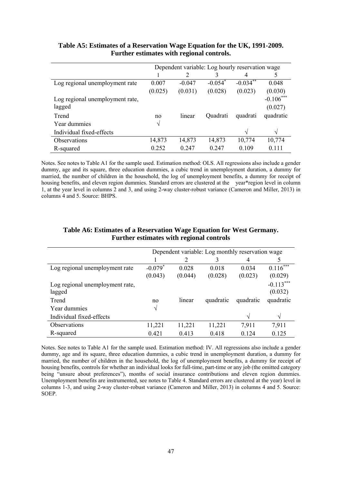|                                 | Dependent variable: Log hourly reservation wage |                |            |               |             |
|---------------------------------|-------------------------------------------------|----------------|------------|---------------|-------------|
|                                 |                                                 | $\overline{2}$ | 3          | 4             | 5           |
| Log regional unemployment rate  | 0.007                                           | $-0.047$       | $-0.054^*$ | $-0.034***$   | 0.048       |
|                                 | (0.025)                                         | (0.031)        | (0.028)    | (0.023)       | (0.030)     |
| Log regional unemployment rate, |                                                 |                |            |               | $-0.106***$ |
| lagged                          |                                                 |                |            |               | (0.027)     |
| Trend                           | no                                              | linear         | Quadrati   | quadrati      | quadratic   |
| Year dummies                    | $\sqrt{}$                                       |                |            |               |             |
| Individual fixed-effects        |                                                 |                |            | $\mathcal{N}$ | $\sqrt{ }$  |
| Observations                    | 14,873                                          | 14,873         | 14,873     | 10,774        | 10,774      |
| R-squared                       | 0.252                                           | 0.247          | 0.247      | 0.109         | 0.111       |

#### **Table A5: Estimates of a Reservation Wage Equation for the UK, 1991-2009. Further estimates with regional controls.**

Notes. See notes to Table A1 for the sample used. Estimation method: OLS. All regressions also include a gender dummy, age and its square, three education dummies, a cubic trend in unemployment duration, a dummy for married, the number of children in the household, the log of unemployment benefits, a dummy for receipt of housing benefits, and eleven region dummies. Standard errors are clustered at the year\*region level in column 1, at the year level in columns 2 and 3, and using 2-way cluster-robust variance (Cameron and Miller, 2013) in columns 4 and 5. Source: BHPS.

|                                 | Dependent variable: Log monthly reservation wage |         |           |           |             |
|---------------------------------|--------------------------------------------------|---------|-----------|-----------|-------------|
|                                 |                                                  | 2       | 3         | 4         |             |
| Log regional unemployment rate  | $-0.079*$                                        | 0.028   | 0.018     | 0.034     | $0.116***$  |
|                                 | (0.043)                                          | (0.044) | (0.028)   | (0.023)   | (0.029)     |
| Log regional unemployment rate, |                                                  |         |           |           | $-0.113***$ |
| lagged                          |                                                  |         |           |           | (0.032)     |
| Trend                           | no                                               | linear  | quadratic | quadratic | quadratic   |
| Year dummies                    | V                                                |         |           |           |             |
| Individual fixed-effects        |                                                  |         |           | N         | $\sqrt{ }$  |
| Observations                    | 11,221                                           | 11,221  | 11,221    | 7,911     | 7,911       |
| R-squared                       | 0.421                                            | 0.413   | 0.418     | 0.124     | 0.125       |

#### **Table A6: Estimates of a Reservation Wage Equation for West Germany. Further estimates with regional controls**

Notes. See notes to Table A1 for the sample used. Estimation method: IV. All regressions also include a gender dummy, age and its square, three education dummies, a cubic trend in unemployment duration, a dummy for married, the number of children in the household, the log of unemployment benefits, a dummy for receipt of housing benefits, controls for whether an individual looks for full-time, part-time or any job (the omitted category being "unsure about preferences"), months of social insurance contributions and eleven region dummies. Unemployment benefits are instrumented, see notes to Table 4. Standard errors are clustered at the year) level in columns 1-3, and using 2-way cluster-robust variance (Cameron and Miller, 2013) in columns 4 and 5. Source: SOEP.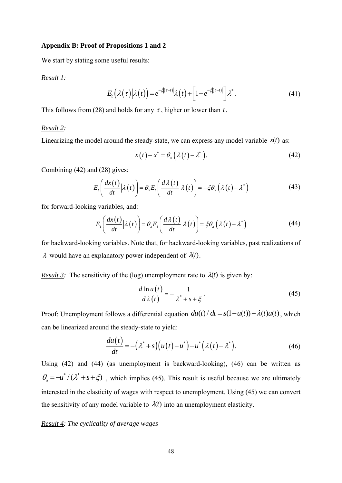#### **Appendix B: Proof of Propositions 1 and 2**

We start by stating some useful results:

#### *Result 1:*

$$
E_t\left(\lambda(\tau)\big|\lambda(t)\right) = e^{-\xi\left[(\tau-t)\right]}\lambda(t) + \left[1 - e^{-\xi\left[(\tau-t)\right]}\right]\lambda^*.
$$
\n(41)

This follows from (28) and holds for any  $\tau$ , higher or lower than t.

#### *Result 2:*

Linearizing the model around the steady-state, we can express any model variable  $x(t)$  as:

$$
x(t) - x^* = \theta_x(\lambda(t) - \lambda^*).
$$
 (42)

Combining (42) and (28) gives:

$$
E_t\left(\frac{dx(t)}{dt}\Big|\lambda(t)\right) = \theta_x E_t\left(\frac{d\lambda(t)}{dt}\Big|\lambda(t)\right) = -\xi\theta_x\left(\lambda(t) - \lambda^*\right) \tag{43}
$$

for forward-looking variables, and:

$$
E_t\left(\frac{dx(t)}{dt}\Big|\lambda(t)\right) = \theta_x E_t\left(\frac{d\lambda(t)}{dt}\Big|\lambda(t)\right) = \xi\theta_x\left(\lambda(t) - \lambda^*\right) \tag{44}
$$

for backward-looking variables. Note that, for backward-looking variables, past realizations of  $\lambda$  would have an explanatory power independent of  $\lambda(t)$ .

*Result 3:* The sensitivity of the (log) unemployment rate to  $\lambda(t)$  is given by:

$$
\frac{d \ln u(t)}{d \lambda(t)} = -\frac{1}{\lambda^* + s + \xi}.
$$
\n(45)

Proof: Unemployment follows a differential equation  $du(t)/dt = s(1 - u(t)) - \lambda(t)u(t)$ , which can be linearized around the steady-state to yield:

$$
\frac{du(t)}{dt} = -(\lambda^* + s)(u(t) - u^*) - u^* (\lambda(t) - \lambda^*).
$$
\n(46)

Using (42) and (44) (as unemployment is backward-looking), (46) can be written as  $\theta_u = -u^* / (\lambda^* + s + \xi)$ , which implies (45). This result is useful because we are ultimately interested in the elasticity of wages with respect to unemployment. Using (45) we can convert the sensitivity of any model variable to  $\lambda(t)$  into an unemployment elasticity.

#### *Result 4: The cyclicality of average wages*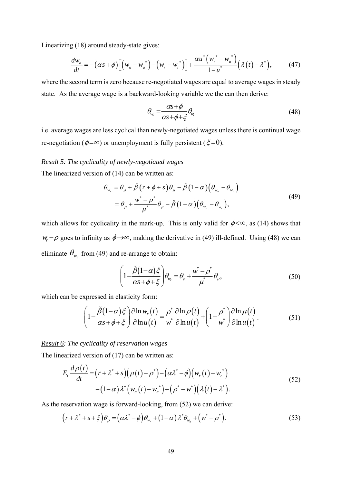Linearizing (18) around steady-state gives:

$$
\frac{dw_a}{dt} = -(\alpha s + \phi) \Big[ \Big( w_a - w_a^* \Big) - \Big( w_r - w_r^* \Big) \Big] + \frac{\alpha u^* \Big( w_r^* - w_a^* \Big)}{1 - u^*} \Big( \lambda \Big( t \Big) - \lambda^* \Big), \tag{47}
$$

where the second term is zero because re-negotiated wages are equal to average wages in steady state. As the average wage is a backward-looking variable we the can then derive:

$$
\theta_{w_a} = \frac{\alpha s + \phi}{\alpha s + \phi + \xi} \theta_{w_r} \tag{48}
$$

i.e. average wages are less cyclical than newly-negotiated wages unless there is continual wage re-negotiation ( $\phi = \infty$ ) or unemployment is fully persistent ( $\xi = 0$ ).

#### *Result 5: The cyclicality of newly-negotiated wages*

The linearized version of (14) can be written as:

$$
\theta_{w_r} = \theta_{\rho} + \tilde{\beta} \left( r + \phi + s \right) \theta_{\mu} - \tilde{\beta} \left( 1 - \alpha \right) \left( \theta_{w_a} - \theta_{w_r} \right) \n= \theta_{\rho} + \frac{w^* - \rho^*}{\mu^*} \theta_{\mu} - \tilde{\beta} \left( 1 - \alpha \right) \left( \theta_{w_a} - \theta_{w_r} \right),
$$
\n(49)

which allows for cyclicality in the mark-up. This is only valid for  $\phi < \infty$ , as (14) shows that  $w_r$  –  $\rho$  goes to infinity as  $\phi \rightarrow \infty$ , making the derivative in (49) ill-defined. Using (48) we can eliminate  $\theta_{w_a}$  from (49) and re-arrange to obtain:

$$
\left(1 - \frac{\tilde{\beta}(1-\alpha)\xi}{\alpha s + \phi + \xi}\right)\theta_{w_r} = \theta_\rho + \frac{w^* - \rho^*}{\mu^*}\theta_\mu,\tag{50}
$$

which can be expressed in elasticity form:

$$
\left(1 - \frac{\tilde{\beta}(1-\alpha)\xi}{\alpha s + \phi + \xi}\right) \frac{\partial \ln w_r(t)}{\partial \ln u(t)} = \frac{\rho^*}{w^*} \frac{\partial \ln \rho(t)}{\partial \ln u(t)} + \left(1 - \frac{\rho^*}{w^*}\right) \frac{\partial \ln \mu(t)}{\partial \ln u(t)}.
$$
(51)

#### *Result 6: The cyclicality of reservation wages*

The linearized version of (17) can be written as:

$$
E_t \frac{d\rho(t)}{dt} = (r + \lambda^* + s)(\rho(t) - \rho^*) - (\alpha \lambda^* - \phi)(w_r(t) - w_r^*)
$$
  
 
$$
- (1 - \alpha)\lambda^* (w_a(t) - w_a^*) + (\rho^* - w^*)(\lambda(t) - \lambda^*).
$$
 (52)

As the reservation wage is forward-looking, from (52) we can derive:

$$
\left(r+\lambda^*+s+\xi\right)\theta_\rho=\left(\alpha\lambda^*-\phi\right)\theta_{w_r}+\left(1-\alpha\right)\lambda^*\theta_{w_a}+\left(w^*-\rho^*\right). \tag{53}
$$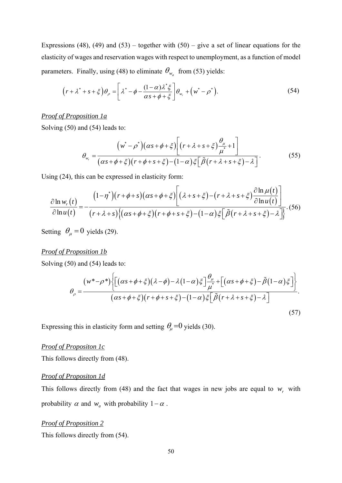Expressions (48), (49) and (53) – together with  $(50)$  – give a set of linear equations for the elasticity of wages and reservation wages with respect to unemployment, as a function of model parameters. Finally, using (48) to eliminate  $\theta_{w}$  from (53) yields:

$$
\left(r+\lambda^*+s+\xi\right)\theta_\rho = \left[\lambda^*-\phi-\frac{(1-\alpha)\lambda^*\xi}{\alpha s+\phi+\xi}\right]\theta_{w_r}+\left(w^*-\rho^*\right). \tag{54}
$$

#### *Proof of Proposition 1a*

Solving (50) and (54) leads to:

$$
\theta_{w_r} = \frac{\left(w^* - \rho^*\right)(\alpha s + \phi + \xi)\left[\left(r + \lambda + s + \xi\right)\frac{\theta_{\mu}}{\mu^*} + 1\right]}{(\alpha s + \phi + \xi)\left(r + \phi + s + \xi\right) - (1 - \alpha)\xi\left[\tilde{\beta}\left(r + \lambda + s + \xi\right) - \lambda\right]}.
$$
\n(55)

Using (24)*,* this can be expressed in elasticity form:

$$
\frac{\partial \ln w_r(t)}{\partial \ln u(t)} = -\frac{(1-\eta^*)(r+\phi+s)(\alpha s+\phi+\xi)}{(r+\lambda+s)\{(\alpha s+\phi+\xi)(r+\phi+s+\xi)-(1-\alpha)\xi\big[\tilde{\beta}(r+\lambda+s+\xi)-\lambda\big]\}}.\tag{56}
$$

Setting  $\theta_{\mu} = 0$  yields (29).

#### *Proof of Proposition 1b*

Solving (50) and (54) leads to:

$$
\theta_{\rho} = \frac{(w^* - \rho^*) \left\{ \left[ (\alpha s + \phi + \xi)(\lambda - \phi) - \lambda (1 - \alpha) \xi \right] \frac{\theta_{\mu}}{\mu^*} + \left[ (\alpha s + \phi + \xi) - \tilde{\beta} (1 - \alpha) \xi \right] \right\}}{(\alpha s + \phi + \xi)(r + \phi + s + \xi) - (1 - \alpha) \xi \left[ \tilde{\beta} (r + \lambda + s + \xi) - \lambda \right]}.
$$
\n(57)

Expressing this in elasticity form and setting  $\theta_{\mu} = 0$  yields (30).

#### *Proof of Propositon 1c*

This follows directly from (48).

#### *Proof of Propositon 1d*

This follows directly from (48) and the fact that wages in new jobs are equal to  $w_r$ , with probability  $\alpha$  and  $w_a$  with probability  $1 - \alpha$ .

#### *Proof of Proposition 2*

This follows directly from (54).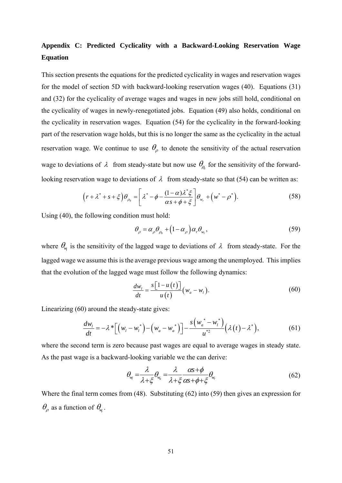## **Appendix C: Predicted Cyclicality with a Backward-Looking Reservation Wage Equation**

This section presents the equations for the predicted cyclicality in wages and reservation wages for the model of section 5D with backward-looking reservation wages (40). Equations (31) and (32) for the cyclicality of average wages and wages in new jobs still hold, conditional on the cyclicality of wages in newly-renegotiated jobs. Equation (49) also holds, conditional on the cyclicality in reservation wages. Equation (54) for the cyclicality in the forward-looking part of the reservation wage holds, but this is no longer the same as the cyclicality in the actual reservation wage. We continue to use  $\theta$  to denote the sensitivity of the actual reservation wage to deviations of  $\lambda$  from steady-state but now use  $\theta_{\alpha}$  for the sensitivity of the forwardlooking reservation wage to deviations of  $\lambda$  from steady-state so that (54) can be written as:

$$
\left(r+\lambda^*+s+\xi\right)\theta_{\rho_0}=\left[\lambda^*-\phi-\frac{(1-\alpha)\lambda^*\xi}{\alpha s+\phi+\xi}\right]\theta_{w_r}+\left(w^*-\rho^*\right). \tag{58}
$$

Using (40), the following condition must hold:

$$
\theta_{\rho} = \alpha_{\rho} \theta_{\rho_0} + (1 - \alpha_{\rho}) \alpha_{\nu} \theta_{w_l}, \qquad (59)
$$

where  $\theta_{w}$  is the sensitivity of the lagged wage to deviations of  $\lambda$  from steady-state. For the lagged wage we assume this is the average previous wage among the unemployed. This implies that the evolution of the lagged wage must follow the following dynamics:

$$
\frac{dw_i}{dt} = \frac{s\left[1 - u\left(t\right)\right]}{u\left(t\right)} \left(w_a - w_i\right). \tag{60}
$$

Linearizing (60) around the steady-state gives:

$$
\frac{dw_{l}}{dt} = -\lambda^{*} \Big[ \Big( w_{l} - w_{l}^{*} \Big) - \Big( w_{a} - w_{a}^{*} \Big) \Big] - \frac{s \Big( w_{a}^{*} - w_{l}^{*} \Big)}{u^{*2}} \Big( \lambda \big( t \big) - \lambda^{*} \Big), \tag{61}
$$

where the second term is zero because past wages are equal to average wages in steady state. As the past wage is a backward-looking variable we the can derive:

$$
\theta_{w_i} = \frac{\lambda}{\lambda + \xi} \theta_{w_a} = \frac{\lambda}{\lambda + \xi} \frac{\alpha s + \phi}{\alpha s + \phi + \xi} \theta_{w_r}
$$
(62)

Where the final term comes from (48). Substituting (62) into (59) then gives an expression for  $\theta$ <sub>o</sub> as a function of  $\theta$ <sub>w</sub>.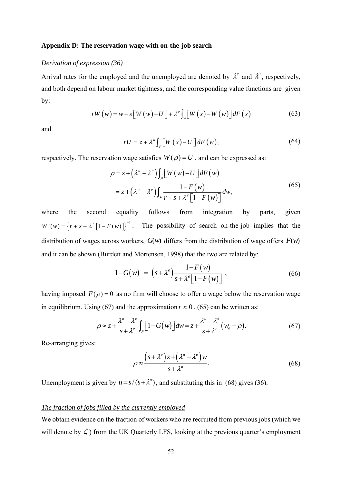#### **Appendix D: The reservation wage with on-the-job search**

#### *Derivation of expression (36)*

Arrival rates for the employed and the unemployed are denoted by  $\lambda^e$  and  $\lambda^u$ , respectively, and both depend on labour market tightness, and the corresponding value functions are given by:

$$
rW(w) = w - s[W(w) - U] + \lambda^e \int_w [W(x) - W(w)] dF(x)
$$
 (63)

and

$$
rU = z + \lambda^u \int_{\rho} \left[ W(x) - U \right] dF(w), \tag{64}
$$

respectively. The reservation wage satisfies  $W(\rho) = U$ , and can be expressed as:

$$
\rho = z + (\lambda^u - \lambda^e) \int_{\rho} \left[ W(w) - U \right] dF(w)
$$
  
=  $z + (\lambda^u - \lambda^e) \int_{\rho} \frac{1 - F(w)}{r + s + \lambda^e \left[ 1 - F(w) \right]} dw,$  (65)

where the second equality follows from integration by parts, given  $W'(w) = \{r + s + \lambda^e [1 - F(w)]\}^{-1}$ . The possibility of search on-the-job implies that the distribution of wages across workers,  $G(w)$  differs from the distribution of wage offers  $F(w)$ and it can be shown (Burdett and Mortensen, 1998) that the two are related by:

$$
1 - G(w) = \left(s + \lambda^e\right) \frac{1 - F(w)}{s + \lambda^e \left[1 - F(w)\right]},
$$
\n(66)

having imposed  $F(\rho) = 0$  as no firm will choose to offer a wage below the reservation wage in equilibrium. Using (67) and the approximation  $r \approx 0$ , (65) can be written as:

$$
\rho \approx z + \frac{\lambda^u - \lambda^e}{s + \lambda^e} \int_{\rho} \left[ 1 - G(w) \right] dw = z + \frac{\lambda^u - \lambda^e}{s + \lambda^e} \left( w_a - \rho \right). \tag{67}
$$

Re-arranging gives:

$$
\rho \approx \frac{\left(s + \lambda^e\right)z + \left(\lambda^u - \lambda^e\right)\overline{w}}{s + \lambda^u}.\tag{68}
$$

Unemployment is given by  $u = s/(s + \lambda^u)$ , and substituting this in (68) gives (36).

#### *The fraction of jobs filled by the currently employed*

We obtain evidence on the fraction of workers who are recruited from previous jobs (which we will denote by  $\zeta$ ) from the UK Quarterly LFS, looking at the previous quarter's employment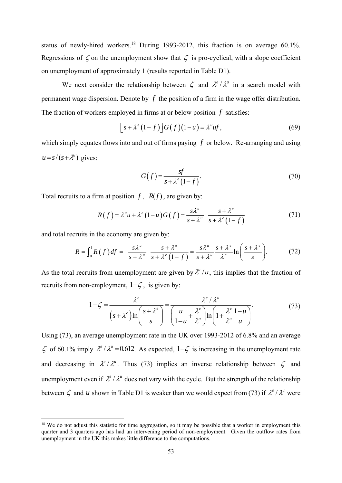status of newly-hired workers.18 During 1993-2012, this fraction is on average 60.1%. Regressions of  $\zeta$  on the unemployment show that  $\zeta$  is pro-cyclical, with a slope coefficient on unemployment of approximately 1 (results reported in Table D1).

We next consider the relationship between  $\zeta$  and  $\lambda^e/\lambda^u$  in a search model with permanent wage dispersion. Denote by *f* the position of a firm in the wage offer distribution. The fraction of workers employed in firms at or below position *f* satisfies:

$$
\[s + \lambda^e (1 - f)\] G(f)(1 - u) = \lambda^u u f,\tag{69}
$$

which simply equates flows into and out of firms paying *f* or below. Re-arranging and using  $u = s/(s + \lambda^u)$  gives:

$$
G(f) = \frac{sf}{s + \lambda^e (1 - f)}.\tag{70}
$$

Total recruits to a firm at position  $f$ ,  $R(f)$ , are given by:

$$
R(f) = \lambda^u u + \lambda^e (1 - u) G(f) = \frac{s \lambda^u}{s + \lambda^u} \frac{s + \lambda^e}{s + \lambda^e (1 - f)}
$$
(71)

and total recruits in the economy are given by:

$$
R = \int_0^1 R(f) df = \frac{s\lambda^u}{s + \lambda^u} \frac{s + \lambda^e}{s + \lambda^e (1 - f)} = \frac{s\lambda^u}{s + \lambda^u} \frac{s + \lambda^e}{\lambda^e} \ln\left(\frac{s + \lambda^e}{s}\right). \tag{72}
$$

As the total recruits from unemployment are given by  $\lambda^u/u$ , this implies that the fraction of recruits from non-employment,  $1-\zeta$ , is given by:

$$
1 - \zeta = \frac{\lambda^e}{\left(s + \lambda^e\right) \ln\left(\frac{s + \lambda^e}{s}\right)} = \frac{\lambda^e / \lambda^u}{\left(\frac{u}{1 - u} + \frac{\lambda^e}{\lambda^u}\right) \ln\left(1 + \frac{\lambda^e}{\lambda^u} \frac{1 - u}{u}\right)}.
$$
(73)

Using (73), an average unemployment rate in the UK over 1993-2012 of 6.8% and an average  $\zeta$  of 60.1% imply  $\lambda^e/\lambda^u = 0.612$ . As expected,  $1-\zeta$  is increasing in the unemployment rate and decreasing in  $\lambda^e/\lambda^u$ . Thus (73) implies an inverse relationship between  $\zeta$  and unemployment even if  $\lambda^e / \lambda^u$  does not vary with the cycle. But the strength of the relationship between  $\zeta$  and *u* shown in Table D1 is weaker than we would expect from (73) if  $\lambda^e / \lambda^u$  were

<sup>&</sup>lt;sup>18</sup> We do not adjust this statistic for time aggregation, so it may be possible that a worker in employment this quarter and 3 quarters ago has had an intervening period of non-employment. Given the outflow rates from unemployment in the UK this makes little difference to the computations.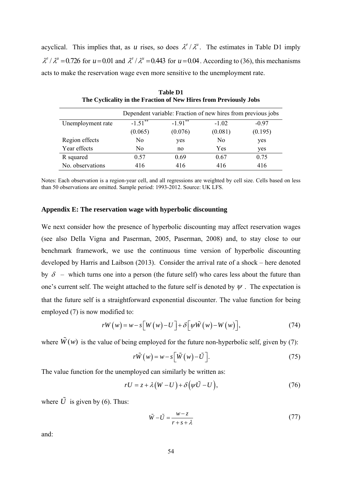acyclical. This implies that, as *u* rises, so does  $\lambda^e / \lambda^u$ . The estimates in Table D1 imply  $\lambda^e/\lambda^u = 0.726$  for  $u = 0.01$  and  $\lambda^e/\lambda^u = 0.443$  for  $u = 0.04$ . According to (36), this mechanisms acts to make the reservation wage even more sensitive to the unemployment rate.

|                   | Dependent variable: Fraction of new hires from previous jobs |            |         |         |  |  |
|-------------------|--------------------------------------------------------------|------------|---------|---------|--|--|
| Unemployment rate | $-1.51***$                                                   | $-1.91***$ | $-1.02$ | $-0.97$ |  |  |
|                   | (0.065)                                                      | (0.076)    | (0.081) | (0.195) |  |  |
| Region effects    | No                                                           | yes        | No      | yes     |  |  |
| Year effects      | N <sub>0</sub>                                               | no         | Yes     | yes     |  |  |
| R squared         | 0.57                                                         | 0.69       | 0.67    | 0.75    |  |  |
| No. observations  | 416                                                          | 416        | 416     | 416     |  |  |

**Table D1 The Cyclicality in the Fraction of New Hires from Previously Jobs**

Notes: Each observation is a region-year cell, and all regressions are weighted by cell size. Cells based on less than 50 observations are omitted. Sample period: 1993-2012. Source: UK LFS.

#### **Appendix E: The reservation wage with hyperbolic discounting**

We next consider how the presence of hyperbolic discounting may affect reservation wages (see also Della Vigna and Paserman, 2005, Paserman, 2008) and, to stay close to our benchmark framework, we use the continuous time version of hyperbolic discounting developed by Harris and Laibson (2013). Consider the arrival rate of a shock – here denoted by  $\delta$  – which turns one into a person (the future self) who cares less about the future than one's current self. The weight attached to the future self is denoted by  $\psi$ . The expectation is that the future self is a straightforward exponential discounter. The value function for being employed (7) is now modified to:

$$
rW(w) = w - s[W(w) - U] + \delta[\psi \tilde{W}(w) - W(w)], \qquad (74)
$$

where  $\tilde{W}(w)$  is the value of being employed for the future non-hyperbolic self, given by (7):

$$
r\tilde{W}(w) = w - s\left[\tilde{W}(w) - \tilde{U}\right].
$$
 (75)

The value function for the unemployed can similarly be written as:

$$
rU = z + \lambda (W - U) + \delta (\psi \tilde{U} - U), \qquad (76)
$$

where  $\tilde{U}$  is given by (6). Thus:

$$
\tilde{W} - \tilde{U} = \frac{w - z}{r + s + \lambda} \tag{77}
$$

and: